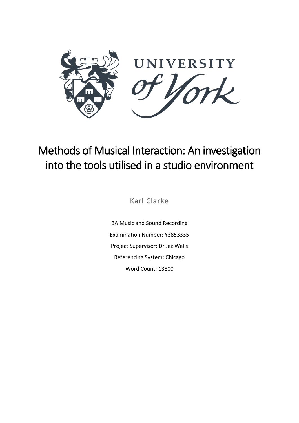

# Methods of Musical Interaction: An investigation into the tools utilised in a studio environment

Karl Clarke

BA Music and Sound Recording Examination Number: Y3853335 Project Supervisor: Dr Jez Wells Referencing System: Chicago Word Count: 13800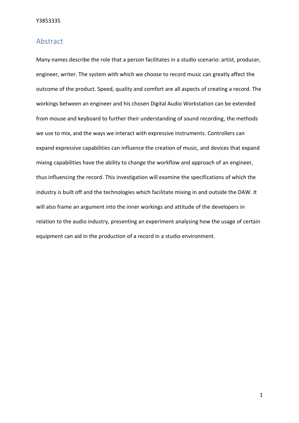## <span id="page-1-0"></span>Abstract

Many names describe the role that a person facilitates in a studio scenario: artist, producer, engineer, writer. The system with which we choose to record music can greatly affect the outcome of the product. Speed, quality and comfort are all aspects of creating a record. The workings between an engineer and his chosen Digital Audio Workstation can be extended from mouse and keyboard to further their understanding of sound recording, the methods we use to mix, and the ways we interact with expressive instruments. Controllers can expand expressive capabilities can influence the creation of music, and devices that expand mixing capabilities have the ability to change the workflow and approach of an engineer, thus influencing the record. This investigation will examine the specifications of which the industry is built off and the technologies which facilitate mixing in and outside the DAW. It will also frame an argument into the inner workings and attitude of the developers in relation to the audio industry, presenting an experiment analysing how the usage of certain equipment can aid in the production of a record in a studio environment.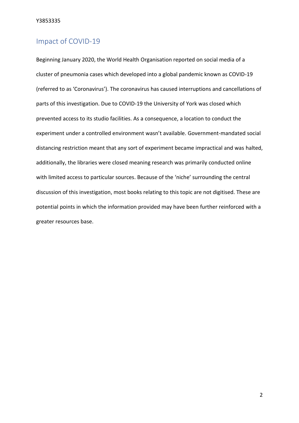## <span id="page-2-0"></span>Impact of COVID-19

Beginning January 2020, the World Health Organisation reported on social media of a cluster of pneumonia cases which developed into a global pandemic known as COVID-19 (referred to as 'Coronavirus'). The coronavirus has caused interruptions and cancellations of parts of this investigation. Due to COVID-19 the University of York was closed which prevented access to its studio facilities. As a consequence, a location to conduct the experiment under a controlled environment wasn't available. Government-mandated social distancing restriction meant that any sort of experiment became impractical and was halted, additionally, the libraries were closed meaning research was primarily conducted online with limited access to particular sources. Because of the 'niche' surrounding the central discussion of this investigation, most books relating to this topic are not digitised. These are potential points in which the information provided may have been further reinforced with a greater resources base.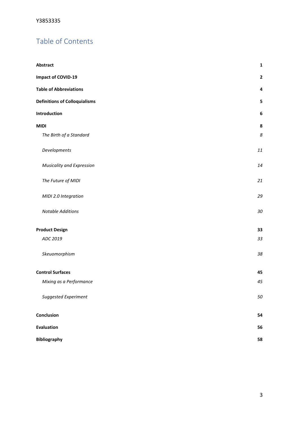## Table of Contents

| <b>Abstract</b>                      | $\mathbf 1$  |
|--------------------------------------|--------------|
| Impact of COVID-19                   | $\mathbf{2}$ |
| <b>Table of Abbreviations</b>        | 4            |
| <b>Definitions of Colloquialisms</b> | 5            |
| Introduction                         | 6            |
| <b>MIDI</b>                          | ${\bf 8}$    |
| The Birth of a Standard              | 8            |
| Developments                         | 11           |
| Musicality and Expression            | 14           |
| The Future of MIDI                   | 21           |
| MIDI 2.0 Integration                 | 29           |
| <b>Notable Additions</b>             | $30\,$       |
| <b>Product Design</b>                | 33           |
| ADC 2019                             | 33           |
| Skeuomorphism                        | 38           |
| <b>Control Surfaces</b>              | 45           |
| Mixing as a Performance              | 45           |
| Suggested Experiment                 | 50           |
| Conclusion                           | 54           |
| <b>Evaluation</b>                    | 56           |
| <b>Bibliography</b>                  | 58           |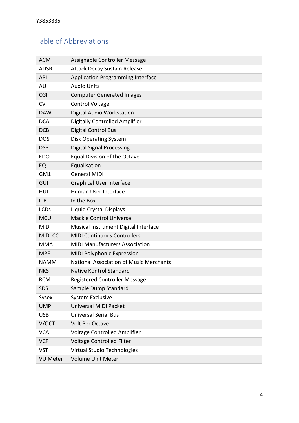## <span id="page-4-0"></span>Table of Abbreviations

| <b>ACM</b>      | Assignable Controller Message                  |
|-----------------|------------------------------------------------|
| <b>ADSR</b>     | Attack Decay Sustain Release                   |
| <b>API</b>      | <b>Application Programming Interface</b>       |
| AU              | <b>Audio Units</b>                             |
| CGI             | <b>Computer Generated Images</b>               |
| <b>CV</b>       | <b>Control Voltage</b>                         |
| <b>DAW</b>      | Digital Audio Workstation                      |
| <b>DCA</b>      | <b>Digitally Controlled Amplifier</b>          |
| <b>DCB</b>      | <b>Digital Control Bus</b>                     |
| <b>DOS</b>      | <b>Disk Operating System</b>                   |
| <b>DSP</b>      | <b>Digital Signal Processing</b>               |
| <b>EDO</b>      | Equal Division of the Octave                   |
| EQ              | Equalisation                                   |
| GM1             | <b>General MIDI</b>                            |
| GUI             | <b>Graphical User Interface</b>                |
| HUI             | Human User Interface                           |
| <b>ITB</b>      | In the Box                                     |
| <b>LCDs</b>     | Liquid Crystal Displays                        |
| <b>MCU</b>      | <b>Mackie Control Universe</b>                 |
| <b>MIDI</b>     | Musical Instrument Digital Interface           |
| <b>MIDICC</b>   | <b>MIDI Continuous Controllers</b>             |
| <b>MMA</b>      | <b>MIDI Manufacturers Association</b>          |
| <b>MPE</b>      | MIDI Polyphonic Expression                     |
| <b>NAMM</b>     | <b>National Association of Music Merchants</b> |
| <b>NKS</b>      | <b>Native Kontrol Standard</b>                 |
| RCM             | Registered Controller Message                  |
| <b>SDS</b>      | Sample Dump Standard                           |
| Sysex           | <b>System Exclusive</b>                        |
| <b>UMP</b>      | <b>Universal MIDI Packet</b>                   |
| <b>USB</b>      | <b>Universal Serial Bus</b>                    |
| V/OCT           | Volt Per Octave                                |
| <b>VCA</b>      | Voltage Controlled Amplifier                   |
| <b>VCF</b>      | <b>Voltage Controlled Filter</b>               |
| <b>VST</b>      | Virtual Studio Technologies                    |
| <b>VU Meter</b> | Volume Unit Meter                              |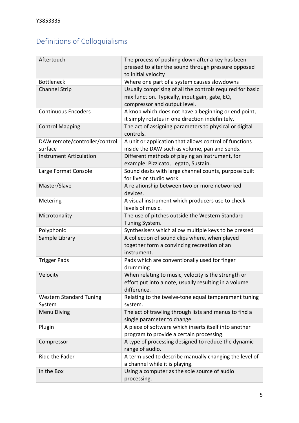## <span id="page-5-0"></span>Definitions of Colloquialisms

| Aftertouch                               | The process of pushing down after a key has been<br>pressed to alter the sound through pressure opposed<br>to initial velocity              |
|------------------------------------------|---------------------------------------------------------------------------------------------------------------------------------------------|
| <b>Bottleneck</b>                        | Where one part of a system causes slowdowns                                                                                                 |
| <b>Channel Strip</b>                     | Usually comprising of all the controls required for basic<br>mix function. Typically, input gain, gate, EQ,<br>compressor and output level. |
| <b>Continuous Encoders</b>               | A knob which does not have a beginning or end point,<br>it simply rotates in one direction indefinitely.                                    |
| <b>Control Mapping</b>                   | The act of assigning parameters to physical or digital<br>controls.                                                                         |
| DAW remote/controller/control<br>surface | A unit or application that allows control of functions<br>inside the DAW such as volume, pan and sends.                                     |
| <b>Instrument Articulation</b>           | Different methods of playing an instrument, for<br>example: Pizzicato, Legato, Sustain.                                                     |
| Large Format Console                     | Sound desks with large channel counts, purpose built<br>for live or studio work                                                             |
| Master/Slave                             | A relationship between two or more networked<br>devices.                                                                                    |
| Metering                                 | A visual instrument which producers use to check<br>levels of music.                                                                        |
| Microtonality                            | The use of pitches outside the Western Standard<br>Tuning System.                                                                           |
| Polyphonic                               | Synthesisers which allow multiple keys to be pressed                                                                                        |
| Sample Library                           | A collection of sound clips where, when played<br>together form a convincing recreation of an<br>instrument.                                |
| <b>Trigger Pads</b>                      | Pads which are conventionally used for finger<br>drumming                                                                                   |
| Velocity                                 | When relating to music, velocity is the strength or<br>effort put into a note, usually resulting in a volume<br>difference.                 |
| <b>Western Standard Tuning</b><br>System | Relating to the twelve-tone equal temperament tuning<br>system.                                                                             |
| <b>Menu Diving</b>                       | The act of trawling through lists and menus to find a<br>single parameter to change.                                                        |
| Plugin                                   | A piece of software which inserts itself into another<br>program to provide a certain processing.                                           |
| Compressor                               | A type of processing designed to reduce the dynamic<br>range of audio.                                                                      |
| Ride the Fader                           | A term used to describe manually changing the level of<br>a channel while it is playing.                                                    |
| In the Box                               | Using a computer as the sole source of audio<br>processing.                                                                                 |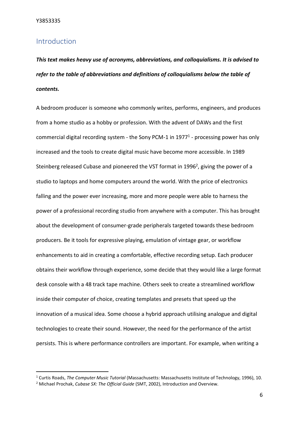### <span id="page-6-0"></span>Introduction

*This text makes heavy use of acronyms, abbreviations, and colloquialisms. It is advised to refer to the table of abbreviations and definitions of colloquialisms below the table of contents.* 

A bedroom producer is someone who commonly writes, performs, engineers, and produces from a home studio as a hobby or profession. With the advent of DAWs and the first commercial digital recording system - the Sony PCM-1 in 1977<sup>1</sup> - processing power has only increased and the tools to create digital music have become more accessible. In 1989 Steinberg released Cubase and pioneered the VST format in 1996<sup>2</sup>, giving the power of a studio to laptops and home computers around the world. With the price of electronics falling and the power ever increasing, more and more people were able to harness the power of a professional recording studio from anywhere with a computer. This has brought about the development of consumer-grade peripherals targeted towards these bedroom producers. Be it tools for expressive playing, emulation of vintage gear, or workflow enhancements to aid in creating a comfortable, effective recording setup. Each producer obtains their workflow through experience, some decide that they would like a large format desk console with a 48 track tape machine. Others seek to create a streamlined workflow inside their computer of choice, creating templates and presets that speed up the innovation of a musical idea. Some choose a hybrid approach utilising analogue and digital technologies to create their sound. However, the need for the performance of the artist persists. This is where performance controllers are important. For example, when writing a

<sup>1</sup> Curtis Roads, *The Computer Music Tutorial* (Massachusetts: Massachusetts Institute of Technology, 1996), 10.

<sup>2</sup> Michael Prochak, *Cubase SX: The Official Guide* (SMT, 2002), Introduction and Overview.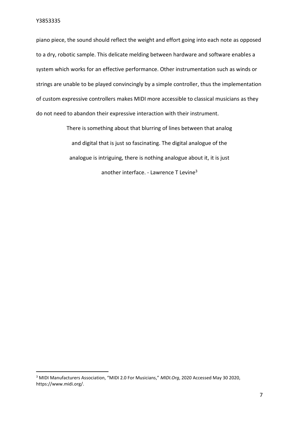piano piece, the sound should reflect the weight and effort going into each note as opposed to a dry, robotic sample. This delicate melding between hardware and software enables a system which works for an effective performance. Other instrumentation such as winds or strings are unable to be played convincingly by a simple controller, thus the implementation of custom expressive controllers makes MIDI more accessible to classical musicians as they do not need to abandon their expressive interaction with their instrument.

> There is something about that blurring of lines between that analog and digital that is just so fascinating. The digital analogue of the analogue is intriguing, there is nothing analogue about it, it is just another interface. - Lawrence T Levine<sup>3</sup>

<sup>3</sup> MIDI Manufacturers Association, "MIDI 2.0 For Musicians," *MIDI.Org*, 2020 Accessed May 30 2020, https://www.midi.org/.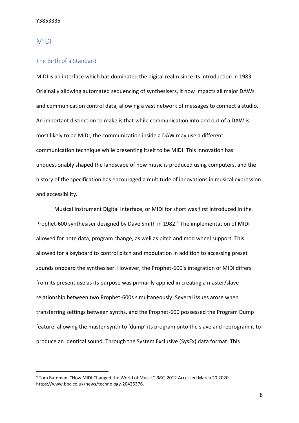#### <span id="page-8-0"></span>MIDI

#### <span id="page-8-1"></span>The Birth of a Standard

MIDI is an interface which has dominated the digital realm since its introduction in 1983. Originally allowing automated sequencing of synthesisers, it now impacts all major DAWs and communication control data, allowing a vast network of messages to connect a studio. An important distinction to make is that while communication into and out of a DAW is most likely to be MIDI; the communication inside a DAW may use a different communication technique while presenting itself to be MIDI. This innovation has unquestionably shaped the landscape of how music is produced using computers, and the history of the specification has encouraged a multitude of innovations in musical expression and accessibility.

Musical Instrument Digital Interface, or MIDI for short was first introduced in the Prophet-600 synthesiser designed by Dave Smith in 1982.<sup>4</sup> The implementation of MIDI allowed for note data, program change, as well as pitch and mod wheel support. This allowed for a keyboard to control pitch and modulation in addition to accessing preset sounds onboard the synthesiser. However, the Prophet-600's integration of MIDI differs from its present use as its purpose was primarily applied in creating a master/slave relationship between two Prophet-600s simultaneously. Several issues arose when transferring settings between synths, and the Prophet-600 possessed the Program Dump feature, allowing the master synth to 'dump' its program onto the slave and reprogram it to produce an identical sound. Through the System Exclusive (SysEx) data format. This

<sup>4</sup> Tom Bateman, "How MIDI Changed the World of Music," *BBC*, 2012 Accessed March 20 2020, https://www.bbc.co.uk/news/technology-20425376.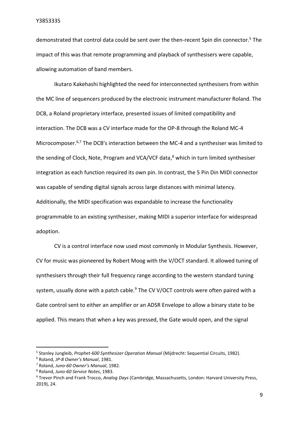demonstrated that control data could be sent over the then-recent 5pin din connector.<sup>5</sup> The impact of this was that remote programming and playback of synthesisers were capable, allowing automation of band members.

Ikutaro Kakehashi highlighted the need for interconnected synthesisers from within the MC line of sequencers produced by the electronic instrument manufacturer Roland. The DCB, a Roland proprietary interface, presented issues of limited compatibility and interaction. The DCB was a CV interface made for the OP-8 through the Roland MC-4 Microcomposer.<sup>6,7</sup> The DCB's interaction between the MC-4 and a synthesiser was limited to the sending of Clock, Note, Program and VCA/VCF data,<sup>8</sup> which in turn limited synthesiser integration as each function required its own pin. In contrast, the 5 Pin Din MIDI connector was capable of sending digital signals across large distances with minimal latency. Additionally, the MIDI specification was expandable to increase the functionality programmable to an existing synthesiser, making MIDI a superior interface for widespread adoption.

CV is a control interface now used most commonly in Modular Synthesis. However, CV for music was pioneered by Robert Moog with the V/OCT standard. It allowed tuning of synthesisers through their full frequency range according to the western standard tuning system, usually done with a patch cable.<sup>9</sup> The CV V/OCT controls were often paired with a Gate control sent to either an amplifier or an ADSR Envelope to allow a binary state to be applied. This means that when a key was pressed, the Gate would open, and the signal

<sup>5</sup> Stanley Jungleib, *Prophet-600 Synthesizer Operation Manual* (Mijdrecht: Sequential Circuits, 1982).

<sup>6</sup> Roland, *JP-8 Owner's Manual*, 1981.

<sup>7</sup> Roland, *Juno-60 Owner's Manual*, 1982.

<sup>8</sup> Roland, *Juno-60 Service Notes*, 1983.

<sup>9</sup> Trevor Pinch and Frank Trocco, *Analog Days* (Cambridge, Massachusetts, London: Harvard University Press, 2019), 24.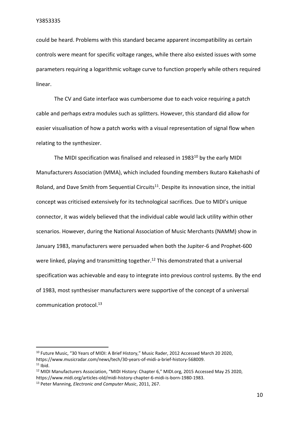could be heard. Problems with this standard became apparent incompatibility as certain controls were meant for specific voltage ranges, while there also existed issues with some parameters requiring a logarithmic voltage curve to function properly while others required linear.

The CV and Gate interface was cumbersome due to each voice requiring a patch cable and perhaps extra modules such as splitters. However, this standard did allow for easier visualisation of how a patch works with a visual representation of signal flow when relating to the synthesizer.

The MIDI specification was finalised and released in 1983<sup>10</sup> by the early MIDI Manufacturers Association (MMA), which included founding members Ikutaro Kakehashi of Roland, and Dave Smith from Sequential Circuits<sup>11</sup>. Despite its innovation since, the initial concept was criticised extensively for its technological sacrifices. Due to MIDI's unique connector, it was widely believed that the individual cable would lack utility within other scenarios. However, during the National Association of Music Merchants (NAMM) show in January 1983, manufacturers were persuaded when both the Jupiter-6 and Prophet-600 were linked, playing and transmitting together.<sup>12</sup> This demonstrated that a universal specification was achievable and easy to integrate into previous control systems. By the end of 1983, most synthesiser manufacturers were supportive of the concept of a universal communication protocol.<sup>13</sup>

<sup>&</sup>lt;sup>10</sup> Future Music, "30 Years of MIDI: A Brief History," Music Rader, 2012 Accessed March 20 2020, https://www.musicradar.com/news/tech/30-years-of-midi-a-brief-history-568009.  $11$  Ibid.

<sup>&</sup>lt;sup>12</sup> MIDI Manufacturers Association, "MIDI History: Chapter 6," MIDI.org, 2015 Accessed May 25 2020,

https://www.midi.org/articles-old/midi-history-chapter-6-midi-is-born-1980-1983.

<sup>13</sup> Peter Manning, *Electronic and Computer Music*, 2011, 267.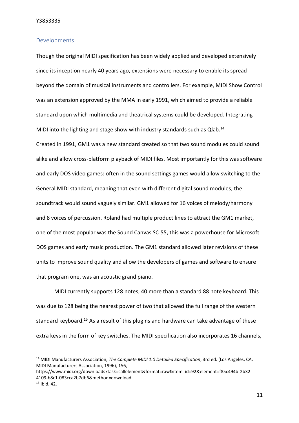#### <span id="page-11-0"></span>Developments

Though the original MIDI specification has been widely applied and developed extensively since its inception nearly 40 years ago, extensions were necessary to enable its spread beyond the domain of musical instruments and controllers. For example, MIDI Show Control was an extension approved by the MMA in early 1991, which aimed to provide a reliable standard upon which multimedia and theatrical systems could be developed. Integrating MIDI into the lighting and stage show with industry standards such as Qlab.<sup>14</sup>

Created in 1991, GM1 was a new standard created so that two sound modules could sound alike and allow cross-platform playback of MIDI files. Most importantly for this was software and early DOS video games: often in the sound settings games would allow switching to the General MIDI standard, meaning that even with different digital sound modules, the soundtrack would sound vaguely similar. GM1 allowed for 16 voices of melody/harmony and 8 voices of percussion. Roland had multiple product lines to attract the GM1 market, one of the most popular was the Sound Canvas SC-55, this was a powerhouse for Microsoft DOS games and early music production. The GM1 standard allowed later revisions of these units to improve sound quality and allow the developers of games and software to ensure that program one, was an acoustic grand piano.

MIDI currently supports 128 notes, 40 more than a standard 88 note keyboard. This was due to 128 being the nearest power of two that allowed the full range of the western standard keyboard.<sup>15</sup> As a result of this plugins and hardware can take advantage of these extra keys in the form of key switches. The MIDI specification also incorporates 16 channels,

<sup>14</sup> MIDI Manufacturers Association, *The Complete MIDI 1.0 Detailed Specification*, 3rd ed. (Los Angeles, CA: MIDI Manufacturers Association, 1996), 156,

https://www.midi.org/downloads?task=callelement&format=raw&item\_id=92&element=f85c494b-2b32- 4109-b8c1-083cca2b7db6&method=download.

 $15$  Ibid, 42.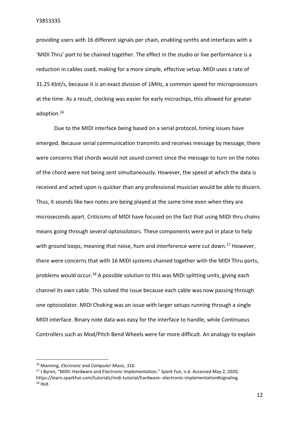providing users with 16 different signals per chain, enabling synths and interfaces with a 'MIDI Thru' port to be chained together. The effect in the studio or live performance is a reduction in cables used, making for a more simple, effective setup. MIDI uses a rate of 31.25 Kbit/s, because it is an exact division of 1MHz, a common speed for microprocessors at the time. As a result, clocking was easier for early microchips, this allowed for greater adoption.<sup>16</sup>

Due to the MIDI interface being based on a serial protocol, timing issues have emerged. Because serial communication transmits and receives message by message, there were concerns that chords would not sound correct since the message to turn on the notes of the chord were not being sent simultaneously. However, the speed at which the data is received and acted upon is quicker than any professional musician would be able to discern. Thus, it sounds like two notes are being played at the same time even when they are microseconds apart. Criticisms of MIDI have focused on the fact that using MIDI thru chains means going through several optoisolators. These components were put in place to help with ground loops, meaning that noise, hum and interference were cut down.<sup>17</sup> However, there were concerns that with 16 MIDI systems chained together with the MIDI Thru ports, problems would occur.<sup>18</sup> A possible solution to this was MIDI splitting units, giving each channel its own cable. This solved the issue because each cable was now passing through one optoisolator. MIDI Choking was an issue with larger setups running through a single MIDI interface. Binary note data was easy for the interface to handle, while Continuous Controllers such as Mod/Pitch Bend Wheels were far more difficult. An analogy to explain

<sup>16</sup> Manning, *Electronic and Computer Music, 316*.

<sup>17</sup> J Byron, "MIDI: Hardware and Electronic Implementation," *Spark Fun*, n.d. Accessed May 2, 2020, https://learn.sparkfun.com/tutorials/midi-tutorial/hardware--electronic-implementation#signaling.  $18$  Ibid.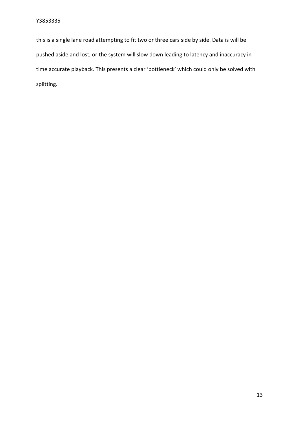this is a single lane road attempting to fit two or three cars side by side. Data is will be pushed aside and lost, or the system will slow down leading to latency and inaccuracy in time accurate playback. This presents a clear 'bottleneck' which could only be solved with splitting.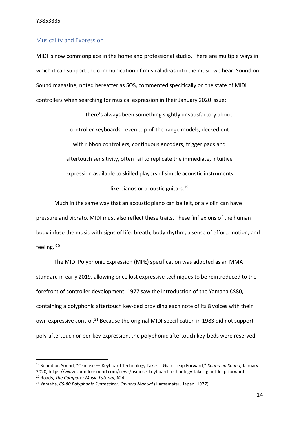#### <span id="page-14-0"></span>Musicality and Expression

MIDI is now commonplace in the home and professional studio. There are multiple ways in which it can support the communication of musical ideas into the music we hear. Sound on Sound magazine, noted hereafter as SOS, commented specifically on the state of MIDI controllers when searching for musical expression in their January 2020 issue:

> There's always been something slightly unsatisfactory about controller keyboards - even top-of-the-range models, decked out with ribbon controllers, continuous encoders, trigger pads and aftertouch sensitivity, often fail to replicate the immediate, intuitive expression available to skilled players of simple acoustic instruments like pianos or acoustic guitars.<sup>19</sup>

Much in the same way that an acoustic piano can be felt, or a violin can have pressure and vibrato, MIDI must also reflect these traits. These 'inflexions of the human body infuse the music with signs of life: breath, body rhythm, a sense of effort, motion, and feeling.'<sup>20</sup>

The MIDI Polyphonic Expression (MPE) specification was adopted as an MMA standard in early 2019, allowing once lost expressive techniques to be reintroduced to the forefront of controller development. 1977 saw the introduction of the Yamaha CS80, containing a polyphonic aftertouch key-bed providing each note of its 8 voices with their own expressive control.<sup>21</sup> Because the original MIDI specification in 1983 did not support poly-aftertouch or per-key expression, the polyphonic aftertouch key-beds were reserved

<sup>19</sup> Sound on Sound, "Osmose — Keyboard Technology Takes a Giant Leap Forward," *Sound on Sound*, January 2020, https://www.soundonsound.com/news/osmose-keyboard-technology-takes-giant-leap-forward. <sup>20</sup> Roads, *The Computer Music Tutorial*, 624.

<sup>21</sup> Yamaha, *CS-80 Polyphonic Synthesizer: Owners Manual* (Hamamatsu, Japan, 1977).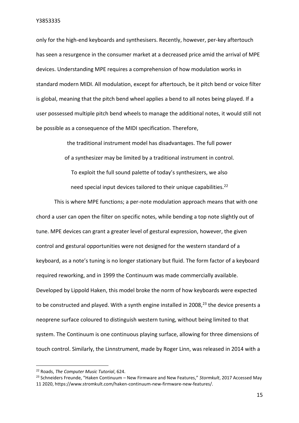only for the high-end keyboards and synthesisers. Recently, however, per-key aftertouch has seen a resurgence in the consumer market at a decreased price amid the arrival of MPE devices. Understanding MPE requires a comprehension of how modulation works in standard modern MIDI. All modulation, except for aftertouch, be it pitch bend or voice filter is global, meaning that the pitch bend wheel applies a bend to all notes being played. If a user possessed multiple pitch bend wheels to manage the additional notes, it would still not be possible as a consequence of the MIDI specification. Therefore,

> the traditional instrument model has disadvantages. The full power of a synthesizer may be limited by a traditional instrument in control. To exploit the full sound palette of today's synthesizers, we also need special input devices tailored to their unique capabilities.<sup>22</sup>

This is where MPE functions; a per-note modulation approach means that with one chord a user can open the filter on specific notes, while bending a top note slightly out of tune. MPE devices can grant a greater level of gestural expression, however, the given control and gestural opportunities were not designed for the western standard of a keyboard, as a note's tuning is no longer stationary but fluid. The form factor of a keyboard required reworking, and in 1999 the Continuum was made commercially available. Developed by Lippold Haken, this model broke the norm of how keyboards were expected to be constructed and played. With a synth engine installed in 2008, $^{23}$  the device presents a neoprene surface coloured to distinguish western tuning, without being limited to that system. The Continuum is one continuous playing surface, allowing for three dimensions of touch control. Similarly, the Linnstrument, made by Roger Linn, was released in 2014 with a

<sup>22</sup> Roads, *The Computer Music Tutorial*, 624.

<sup>23</sup> Schneiders Freunde, "Haken Continuum – New Firmware and New Features," *Stormkult*, 2017 Accessed May 11 2020, https://www.stromkult.com/haken-continuum-new-firmware-new-features/.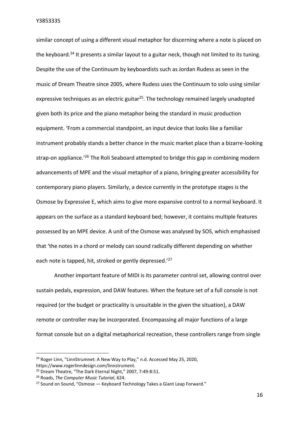similar concept of using a different visual metaphor for discerning where a note is placed on the keyboard.<sup>24</sup> It presents a similar layout to a guitar neck, though not limited to its tuning. Despite the use of the Continuum by keyboardists such as Jordan Rudess as seen in the music of Dream Theatre since 2005, where Rudess uses the Continuum to solo using similar expressive techniques as an electric guitar<sup>25</sup>. The technology remained largely unadopted given both its price and the piano metaphor being the standard in music production equipment. 'From a commercial standpoint, an input device that looks like a familiar instrument probably stands a better chance in the music market place than a bizarre-looking strap-on appliance.<sup>'26</sup> The Roli Seaboard attempted to bridge this gap in combining modern advancements of MPE and the visual metaphor of a piano, bringing greater accessibility for contemporary piano players. Similarly, a device currently in the prototype stages is the Osmose by Expressive E, which aims to give more expansive control to a normal keyboard. It appears on the surface as a standard keyboard bed; however, it contains multiple features possessed by an MPE device. A unit of the Osmose was analysed by SOS, which emphasised that 'the notes in a chord or melody can sound radically different depending on whether each note is tapped, hit, stroked or gently depressed.<sup>'27</sup>

Another important feature of MIDI is its parameter control set, allowing control over sustain pedals, expression, and DAW features. When the feature set of a full console is not required (or the budget or practicality is unsuitable in the given the situation), a DAW remote or controller may be incorporated. Encompassing all major functions of a large format console but on a digital metaphorical recreation, these controllers range from single

<sup>&</sup>lt;sup>24</sup> Roger Linn, "LinnStrumnet: A New Way to Play," n.d. Accessed May 25, 2020, https://www.rogerlinndesign.com/linnstrument.

<sup>25</sup> Dream Theatre, "The Dark Eternal Night," 2007, 7:49-8:51.

<sup>26</sup> Roads, *The Computer Music Tutorial*, 624.

 $27$  Sound on Sound, "Osmose  $-$  Keyboard Technology Takes a Giant Leap Forward."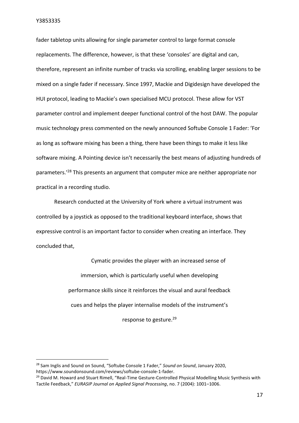fader tabletop units allowing for single parameter control to large format console replacements. The difference, however, is that these 'consoles' are digital and can, therefore, represent an infinite number of tracks via scrolling, enabling larger sessions to be mixed on a single fader if necessary. Since 1997, Mackie and Digidesign have developed the HUI protocol, leading to Mackie's own specialised MCU protocol. These allow for VST parameter control and implement deeper functional control of the host DAW. The popular music technology press commented on the newly announced Softube Console 1 Fader: 'For as long as software mixing has been a thing, there have been things to make it less like software mixing. A Pointing device isn't necessarily the best means of adjusting hundreds of parameters.<sup>'28</sup> This presents an argument that computer mice are neither appropriate nor practical in a recording studio.

Research conducted at the University of York where a virtual instrument was controlled by a joystick as opposed to the traditional keyboard interface, shows that expressive control is an important factor to consider when creating an interface. They concluded that,

> Cymatic provides the player with an increased sense of immersion, which is particularly useful when developing performance skills since it reinforces the visual and aural feedback cues and helps the player internalise models of the instrument's response to gesture.<sup>29</sup>

<sup>28</sup> Sam Inglis and Sound on Sound, "Softube Console 1 Fader," *Sound on Sound*, January 2020, https://www.soundonsound.com/reviews/softube-console-1-fader.

<sup>&</sup>lt;sup>29</sup> David M. Howard and Stuart Rimell, "Real-Time Gesture-Controlled Physical Modelling Music Synthesis with Tactile Feedback," *EURASIP Journal on Applied Signal Processing*, no. 7 (2004): 1001–1006.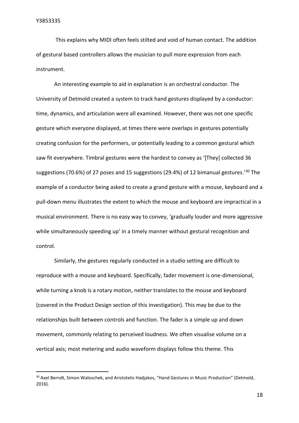This explains why MIDI often feels stilted and void of human contact. The addition of gestural based controllers allows the musician to pull more expression from each instrument.

An interesting example to aid in explanation is an orchestral conductor. The University of Detmold created a system to track hand gestures displayed by a conductor: time, dynamics, and articulation were all examined. However, there was not one specific gesture which everyone displayed, at times there were overlaps in gestures potentially creating confusion for the performers, or potentially leading to a common gestural which saw fit everywhere. Timbral gestures were the hardest to convey as '[They] collected 36 suggestions (70.6%) of 27 poses and 15 suggestions (29.4%) of 12 bimanual gestures.'<sup>30</sup> The example of a conductor being asked to create a grand gesture with a mouse, keyboard and a pull-down menu illustrates the extent to which the mouse and keyboard are impractical in a musical environment. There is no easy way to convey, 'gradually louder and more aggressive while simultaneously speeding up' in a timely manner without gestural recognition and control.

Similarly, the gestures regularly conducted in a studio setting are difficult to reproduce with a mouse and keyboard. Specifically, fader movement is one-dimensional, while turning a knob is a rotary motion, neither translates to the mouse and keyboard (covered in the Product Design section of this investigation). This may be due to the relationships built between controls and function. The fader is a simple up and down movement, commonly relating to perceived loudness. We often visualise volume on a vertical axis; most metering and audio waveform displays follow this theme. This

<sup>&</sup>lt;sup>30</sup> Axel Berndt, Simon Waloschek, and Aristotelis Hadjakos, "Hand Gestures in Music Production" (Detmold, 2016).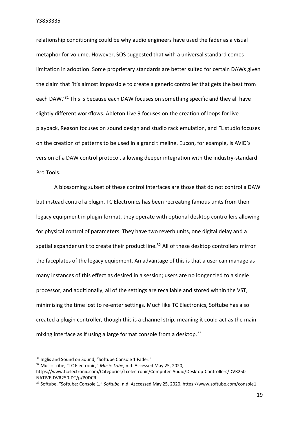relationship conditioning could be why audio engineers have used the fader as a visual metaphor for volume. However, SOS suggested that with a universal standard comes limitation in adoption. Some proprietary standards are better suited for certain DAWs given the claim that 'it's almost impossible to create a generic controller that gets the best from each DAW.'<sup>31</sup> This is because each DAW focuses on something specific and they all have slightly different workflows. Ableton Live 9 focuses on the creation of loops for live playback, Reason focuses on sound design and studio rack emulation, and FL studio focuses on the creation of patterns to be used in a grand timeline. Eucon, for example, is AVID's version of a DAW control protocol, allowing deeper integration with the industry-standard Pro Tools.

A blossoming subset of these control interfaces are those that do not control a DAW but instead control a plugin. TC Electronics has been recreating famous units from their legacy equipment in plugin format, they operate with optional desktop controllers allowing for physical control of parameters. They have two reverb units, one digital delay and a spatial expander unit to create their product line.<sup>32</sup> All of these desktop controllers mirror the faceplates of the legacy equipment. An advantage of this is that a user can manage as many instances of this effect as desired in a session; users are no longer tied to a single processor, and additionally, all of the settings are recallable and stored within the VST, minimising the time lost to re-enter settings. Much like TC Electronics, Softube has also created a plugin controller, though this is a channel strip, meaning it could act as the main mixing interface as if using a large format console from a desktop.<sup>33</sup>

<sup>&</sup>lt;sup>31</sup> Inglis and Sound on Sound, "Softube Console 1 Fader."

<sup>32</sup> Music Tribe, "TC Electronic," *Music Tribe*, n.d. Accessed May 25, 2020,

https://www.tcelectronic.com/Categories/Tcelectronic/Computer-Audio/Desktop-Controllers/DVR250- NATIVE-DVR250-DT/p/P0DCR.

<sup>33</sup> Softube, "Softube: Console 1," *Softube*, n.d. Asccessed May 25, 2020, https://www.softube.com/console1.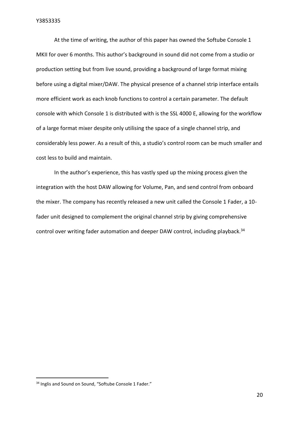At the time of writing, the author of this paper has owned the Softube Console 1 MKII for over 6 months. This author's background in sound did not come from a studio or production setting but from live sound, providing a background of large format mixing before using a digital mixer/DAW. The physical presence of a channel strip interface entails more efficient work as each knob functions to control a certain parameter. The default console with which Console 1 is distributed with is the SSL 4000 E, allowing for the workflow of a large format mixer despite only utilising the space of a single channel strip, and considerably less power. As a result of this, a studio's control room can be much smaller and cost less to build and maintain.

In the author's experience, this has vastly sped up the mixing process given the integration with the host DAW allowing for Volume, Pan, and send control from onboard the mixer. The company has recently released a new unit called the Console 1 Fader, a 10 fader unit designed to complement the original channel strip by giving comprehensive control over writing fader automation and deeper DAW control, including playback.<sup>34</sup>

<sup>&</sup>lt;sup>34</sup> Inglis and Sound on Sound, "Softube Console 1 Fader."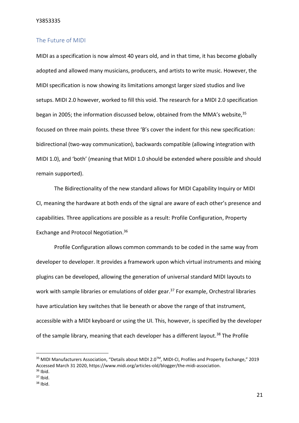#### <span id="page-21-0"></span>The Future of MIDI

MIDI as a specification is now almost 40 years old, and in that time, it has become globally adopted and allowed many musicians, producers, and artists to write music. However, the MIDI specification is now showing its limitations amongst larger sized studios and live setups. MIDI 2.0 however, worked to fill this void. The research for a MIDI 2.0 specification began in 2005; the information discussed below, obtained from the MMA's website, 35 focused on three main points. these three 'B's cover the indent for this new specification: bidirectional (two-way communication), backwards compatible (allowing integration with MIDI 1.0), and 'both' (meaning that MIDI 1.0 should be extended where possible and should remain supported).

The Bidirectionality of the new standard allows for MIDI Capability Inquiry or MIDI CI, meaning the hardware at both ends of the signal are aware of each other's presence and capabilities. Three applications are possible as a result: Profile Configuration, Property Exchange and Protocol Negotiation.<sup>36</sup>

Profile Configuration allows common commands to be coded in the same way from developer to developer. It provides a framework upon which virtual instruments and mixing plugins can be developed, allowing the generation of universal standard MIDI layouts to work with sample libraries or emulations of older gear.<sup>37</sup> For example, Orchestral libraries have articulation key switches that lie beneath or above the range of that instrument, accessible with a MIDI keyboard or using the UI. This, however, is specified by the developer of the sample library, meaning that each developer has a different layout.<sup>38</sup> The Profile

<sup>&</sup>lt;sup>35</sup> MIDI Manufacturers Association, "Details about MIDI 2.0™, MIDI-CI, Profiles and Property Exchange," 2019 Accessed March 31 2020, https://www.midi.org/articles-old/blogger/the-midi-association.  $36$  Ibid.

 $37$  Ibid.

 $38$  Ibid.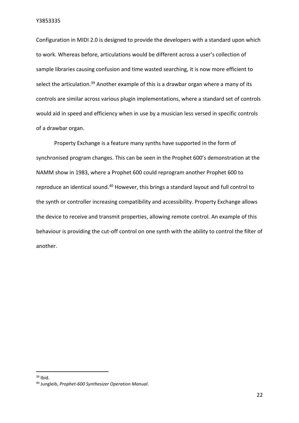Configuration in MIDI 2.0 is designed to provide the developers with a standard upon which to work. Whereas before, articulations would be different across a user's collection of sample libraries causing confusion and time wasted searching, it is now more efficient to select the articulation.<sup>39</sup> Another example of this is a drawbar organ where a many of its controls are similar across various plugin implementations, where a standard set of controls would aid in speed and efficiency when in use by a musician less versed in specific controls of a drawbar organ.

Property Exchange is a feature many synths have supported in the form of synchronised program changes. This can be seen in the Prophet 600's demonstration at the NAMM show in 1983, where a Prophet 600 could reprogram another Prophet 600 to reproduce an identical sound.<sup>40</sup> However, this brings a standard layout and full control to the synth or controller increasing compatibility and accessibility. Property Exchange allows the device to receive and transmit properties, allowing remote control. An example of this behaviour is providing the cut-off control on one synth with the ability to control the filter of another.

 $39$  Ibid.

<sup>40</sup> Jungleib, *Prophet-600 Synthesizer Operation Manual*.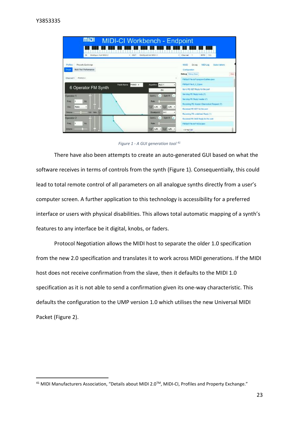| mial                                                              | MIDI-CI Workbench - Endpoint                                                           |                                                                                                                                          |
|-------------------------------------------------------------------|----------------------------------------------------------------------------------------|------------------------------------------------------------------------------------------------------------------------------------------|
| Middlech fail MDI 2<br>IN.                                        | Middleot 4x6 MBJ 2<br>$-$ cuit<br>* Chatted                                            | <b>BPM</b><br>120                                                                                                                        |
| Property Exchange<br>Profiles<br>Multi Part Performance<br>Single | MJ O<br>Configuration<br>Debug Debug Stor                                              | MEDI Log<br>Subscriptions<br>Dobug<br><b>Clear</b>                                                                                       |
| PIAND L<br>Channel 1<br>Patch Name<br>6 Operator FM Synth         | PIANO 4<br>Agaitm ALG 1<br>FX.                                                         | FMOod File do?-programGuiNew japan<br><b>FMOpt File D. G. Dijaon</b><br>Send PE GET Roofs for the port                                   |
| Operator 1<br>Hz<br>۹<br>Freq<br>Ratio<br>Dut.<br>$\blacksquare$  | Dutt H<br><b>Dolls</b> L<br>×<br>Rate<br>W<br><b>City</b><br>-LIN -<br><b>LIN</b><br>۰ | Sending PE Reply body (7)<br>Sending PE Reply header (7)<br>Receiving PE Header ChannelList Request (7)<br>Received PE GET for the port. |
| Vol. Well- Vol.<br>Пилли<br>Operator 2<br>l 1<br>Hz<br>Fress.     | $A-1$<br><b>Brankpassed</b><br>Dpm R<br>Dani<br><b>Hale</b>                            | Receiving PE undefined Reply (1)<br>Received PE SUB Reply for the port<br>FMOnt File rb/7-falled jums                                    |
| Dotung                                                            | <b>SW</b><br><b>LIN</b><br>$-LW$<br>+Armel191                                          |                                                                                                                                          |

*Figure 1 - A GUI generation tool <sup>41</sup>*

There have also been attempts to create an auto-generated GUI based on what the software receives in terms of controls from the synth (Figure 1). Consequentially, this could lead to total remote control of all parameters on all analogue synths directly from a user's computer screen. A further application to this technology is accessibility for a preferred interface or users with physical disabilities. This allows total automatic mapping of a synth's features to any interface be it digital, knobs, or faders.

Protocol Negotiation allows the MIDI host to separate the older 1.0 specification from the new 2.0 specification and translates it to work across MIDI generations. If the MIDI host does not receive confirmation from the slave, then it defaults to the MIDI 1.0 specification as it is not able to send a confirmation given its one-way characteristic. This defaults the configuration to the UMP version 1.0 which utilises the new Universal MIDI Packet (Figure 2).

<sup>&</sup>lt;sup>41</sup> MIDI Manufacturers Association, "Details about MIDI 2.0™, MIDI-CI, Profiles and Property Exchange."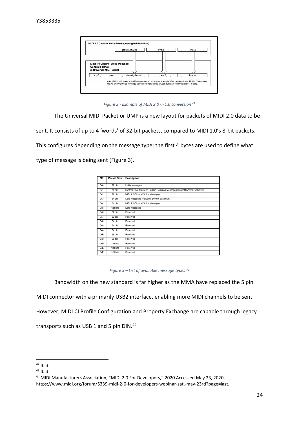| MIDI 1.0 Channel Voice Message<br><b>General Format</b> |                  |        |        |
|---------------------------------------------------------|------------------|--------|--------|
| in Universal MIDI Packet                                |                  |        |        |
| $mt = 2$<br>group                                       | status & channel | byte_3 | byte_4 |

*Figure 2 - Example of MIDI 2.0 -> 1.0 conversion <sup>42</sup>*

The Universal MIDI Packet or UMP is a new layout for packets of MIDI 2.0 data to be

sent. It consists of up to 4 'words' of 32-bit packets, compared to MIDI 1.0's 8-bit packets.

This configures depending on the message type: the first 4 bytes are used to define what

type of message is being sent (Figure 3).

| MT  | <b>Packet Size</b> | <b>Description</b>                                                    |
|-----|--------------------|-----------------------------------------------------------------------|
| 0x0 | 32 bits            | <b>Utility Messages</b>                                               |
| 0x1 | 32 bits            | System Real Time and System Common Messages (except System Exclusive) |
| 0x2 | 32 bits            | MIDI 1.0 Channel Voice Messages                                       |
| 0x3 | 64 bits            | Data Messages (including System Exclusive)                            |
| 0x4 | 64 bits            | MIDI 2.0 Channel Voice Messages                                       |
| 0x5 | 128 bits           | Data Messages                                                         |
| 0x6 | 32 bits            | Reserved                                                              |
| 0x7 | 32 bits            | Reserved                                                              |
| 0x8 | 64 bits            | Reserved                                                              |
| 0x9 | 64 bits            | Reserved                                                              |
| 0xA | 64 bits            | Reserved                                                              |
| 0xB | 96 bits            | Reserved                                                              |
| 0xC | 96 bits            | Reserved                                                              |
| 0xD | 128 bits           | Reserved                                                              |
| 0xE | 128 bits           | Reserved                                                              |
| 0xF | 128 bits           | Reserved                                                              |

*Figure 3 – List of available message types <sup>43</sup>*

Bandwidth on the new standard is far higher as the MMA have replaced the 5 pin

MIDI connector with a primarily USB2 interface, enabling more MIDI channels to be sent.

However, MIDI CI Profile Configuration and Property Exchange are capable through legacy

transports such as USB 1 and 5 pin DIN.<sup>44</sup>

 $42$  Ibid.

 $43$  Ibid.

<sup>44</sup> MIDI Manufacturers Association, "MIDI 2.0 For Developers," 2020 Accessed May 23, 2020, https://www.midi.org/forum/5339-midi-2-0-for-developers-webinar-sat,-may-23rd?page=last.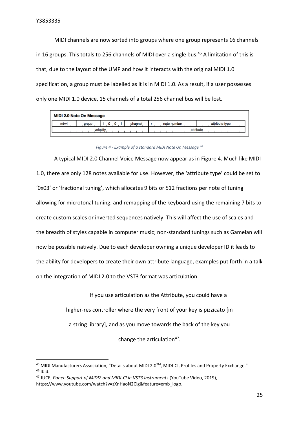MIDI channels are now sorted into groups where one group represents 16 channels in 16 groups. This totals to 256 channels of MIDI over a single bus.<sup>45</sup> A limitation of this is that, due to the layout of the UMP and how it interacts with the original MIDI 1.0 specification, a group must be labelled as it is in MIDI 1.0. As a result, if a user possesses only one MIDI 1.0 device, 15 channels of a total 256 channel bus will be lost.

| MIDI 2.0 Note On Message |       |  |         |             |                |  |
|--------------------------|-------|--|---------|-------------|----------------|--|
| $mt = 4$                 | group |  | channel | note number | attribute type |  |
| velocity                 |       |  |         | attribute   |                |  |
|                          |       |  |         |             |                |  |

*Figure 4 - Example of a standard MIDI Note On Message <sup>46</sup>*

A typical MIDI 2.0 Channel Voice Message now appear as in Figure 4. Much like MIDI 1.0, there are only 128 notes available for use. However, the 'attribute type' could be set to '0x03' or 'fractional tuning', which allocates 9 bits or 512 fractions per note of tuning allowing for microtonal tuning, and remapping of the keyboard using the remaining 7 bits to create custom scales or inverted sequences natively. This will affect the use of scales and the breadth of styles capable in computer music; non-standard tunings such as Gamelan will now be possible natively. Due to each developer owning a unique developer ID it leads to the ability for developers to create their own attribute language, examples put forth in a talk on the integration of MIDI 2.0 to the VST3 format was articulation.

> If you use articulation as the Attribute, you could have a higher-res controller where the very front of your key is pizzicato [in a string library], and as you move towards the back of the key you change the articulation<sup>47</sup>.

<sup>&</sup>lt;sup>45</sup> MIDI Manufacturers Association, "Details about MIDI 2.0™, MIDI-CI, Profiles and Property Exchange."  $46$  Ibid.

<sup>47</sup> JUCE, *Panel: Support of MIDI2 and MIDI-CI in VST3 Instruments* (YouTube Video, 2019), https://www.youtube.com/watch?v=zXnHaoN2Cig&feature=emb\_logo.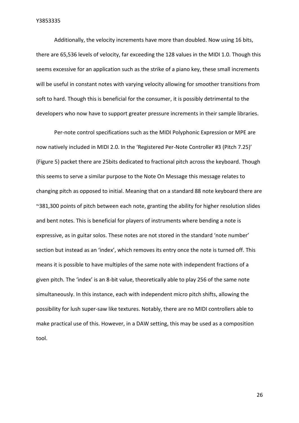Additionally, the velocity increments have more than doubled. Now using 16 bits, there are 65,536 levels of velocity, far exceeding the 128 values in the MIDI 1.0. Though this seems excessive for an application such as the strike of a piano key, these small increments will be useful in constant notes with varying velocity allowing for smoother transitions from soft to hard. Though this is beneficial for the consumer, it is possibly detrimental to the developers who now have to support greater pressure increments in their sample libraries.

Per-note control specifications such as the MIDI Polyphonic Expression or MPE are now natively included in MIDI 2.0. In the 'Registered Per-Note Controller #3 (Pitch 7.25)' (Figure 5) packet there are 25bits dedicated to fractional pitch across the keyboard. Though this seems to serve a similar purpose to the Note On Message this message relates to changing pitch as opposed to initial. Meaning that on a standard 88 note keyboard there are ~381,300 points of pitch between each note, granting the ability for higher resolution slides and bent notes. This is beneficial for players of instruments where bending a note is expressive, as in guitar solos. These notes are not stored in the standard 'note number' section but instead as an 'index', which removes its entry once the note is turned off. This means it is possible to have multiples of the same note with independent fractions of a given pitch. The 'index' is an 8-bit value, theoretically able to play 256 of the same note simultaneously. In this instance, each with independent micro pitch shifts, allowing the possibility for lush super-saw like textures. Notably, there are no MIDI controllers able to make practical use of this. However, in a DAW setting, this may be used as a composition tool.

26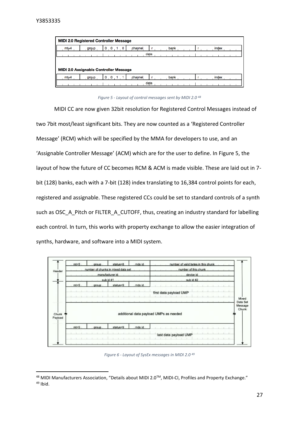| <b>MIDI 2.0 Registered Controller Message</b>           |       |          |          |  |      |  |  |       |  |
|---------------------------------------------------------|-------|----------|----------|--|------|--|--|-------|--|
| $mt = 4$                                                | group | $\Omega$ | channel. |  | bank |  |  | index |  |
| data                                                    |       |          |          |  |      |  |  |       |  |
|                                                         |       |          |          |  |      |  |  |       |  |
| <b>MIDI 2.0 Assignable Controller Message</b>           |       |          |          |  |      |  |  |       |  |
| bank<br>index<br>$mt = 4$<br>channel<br>0<br>0<br>grqup |       |          |          |  |      |  |  |       |  |
| data                                                    |       |          |          |  |      |  |  |       |  |

*Figure 5 - Layout of control messages sent by MIDI 2.0 <sup>48</sup>*

MIDI CC are now given 32bit resolution for Registered Control Messages instead of two 7bit most/least significant bits. They are now counted as a 'Registered Controller Message' (RCM) which will be specified by the MMA for developers to use, and an 'Assignable Controller Message' (ACM) which are for the user to define. In Figure 5, the layout of how the future of CC becomes RCM & ACM is made visible. These are laid out in 7 bit (128) banks, each with a 7-bit (128) index translating to 16,384 control points for each, registered and assignable. These registered CCs could be set to standard controls of a synth such as OSC\_A\_Pitch or FILTER\_A\_CUTOFF, thus, creating an industry standard for labelling each control. In turn, this works with property exchange to allow the easier integration of synths, hardware, and software into a MIDI system.



*Figure 6 - Layout of SysEx messages in MIDI 2.0 <sup>49</sup>*

<sup>&</sup>lt;sup>48</sup> MIDI Manufacturers Association, "Details about MIDI 2.0™, MIDI-CI, Profiles and Property Exchange."  $49$  Ibid.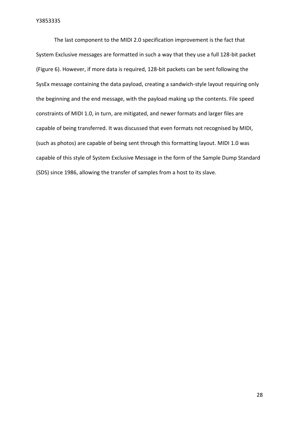The last component to the MIDI 2.0 specification improvement is the fact that System Exclusive messages are formatted in such a way that they use a full 128-bit packet (Figure 6). However, if more data is required, 128-bit packets can be sent following the SysEx message containing the data payload, creating a sandwich-style layout requiring only the beginning and the end message, with the payload making up the contents. File speed constraints of MIDI 1.0, in turn, are mitigated, and newer formats and larger files are capable of being transferred. It was discussed that even formats not recognised by MIDI, (such as photos) are capable of being sent through this formatting layout. MIDI 1.0 was capable of this style of System Exclusive Message in the form of the Sample Dump Standard (SDS) since 1986, allowing the transfer of samples from a host to its slave.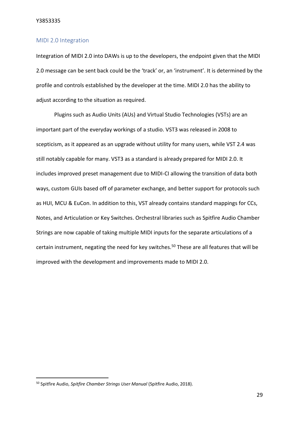#### <span id="page-29-0"></span>MIDI 2.0 Integration

Integration of MIDI 2.0 into DAWs is up to the developers, the endpoint given that the MIDI 2.0 message can be sent back could be the 'track' or, an 'instrument'. It is determined by the profile and controls established by the developer at the time. MIDI 2.0 has the ability to adjust according to the situation as required.

Plugins such as Audio Units (AUs) and Virtual Studio Technologies (VSTs) are an important part of the everyday workings of a studio. VST3 was released in 2008 to scepticism, as it appeared as an upgrade without utility for many users, while VST 2.4 was still notably capable for many. VST3 as a standard is already prepared for MIDI 2.0. It includes improved preset management due to MIDI-CI allowing the transition of data both ways, custom GUIs based off of parameter exchange, and better support for protocols such as HUI, MCU & EuCon. In addition to this, VST already contains standard mappings for CCs, Notes, and Articulation or Key Switches. Orchestral libraries such as Spitfire Audio Chamber Strings are now capable of taking multiple MIDI inputs for the separate articulations of a certain instrument, negating the need for key switches.<sup>50</sup> These are all features that will be improved with the development and improvements made to MIDI 2.0.

<sup>50</sup> Spitfire Audio, *Spitfire Chamber Strings User Manual* (Spitfire Audio, 2018).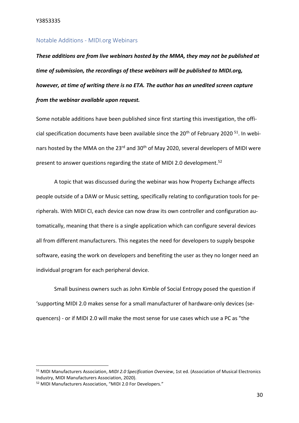#### <span id="page-30-0"></span>Notable Additions - MIDI.org Webinars

*These additions are from live webinars hosted by the MMA, they may not be published at time of submission, the recordings of these webinars will be published to MIDI.org, however, at time of writing there is no ETA. The author has an unedited screen capture from the webinar available upon request.*

Some notable additions have been published since first starting this investigation, the official specification documents have been available since the  $20<sup>th</sup>$  of February 2020<sup>51</sup>. In webinars hosted by the MMA on the 23<sup>rd</sup> and 30<sup>th</sup> of May 2020, several developers of MIDI were present to answer questions regarding the state of MIDI 2.0 development.<sup>52</sup>

A topic that was discussed during the webinar was how Property Exchange affects people outside of a DAW or Music setting, specifically relating to configuration tools for peripherals. With MIDI CI, each device can now draw its own controller and configuration automatically, meaning that there is a single application which can configure several devices all from different manufacturers. This negates the need for developers to supply bespoke software, easing the work on developers and benefiting the user as they no longer need an individual program for each peripheral device.

Small business owners such as John Kimble of Social Entropy posed the question if 'supporting MIDI 2.0 makes sense for a small manufacturer of hardware-only devices (sequencers) - or if MIDI 2.0 will make the most sense for use cases which use a PC as "the

<sup>51</sup> MIDI Manufacturers Association, *MIDI 2.0 Specification Overview*, 1st ed. (Association of Musical Electronics Industry, MIDI Manufacturers Association, 2020).

<sup>52</sup> MIDI Manufacturers Association, "MIDI 2.0 For Developers."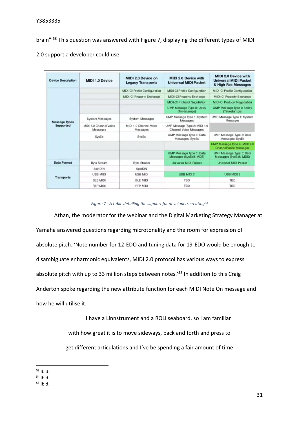brain"<sup>'53</sup> This question was answered with Figure 7, displaying the different types of MIDI

| <b>Device Description</b> | <b>MIDI 1.0 Device</b>            | MIDI 2.0 Device on<br><b>Legacy Transports</b> | MIDI 2.0 Device with<br><b>Universal MIDI Packet</b>   | <b>MIDI 2.0 Device with</b><br><b>Universal MIDI Packet</b><br>& High Res Messages |
|---------------------------|-----------------------------------|------------------------------------------------|--------------------------------------------------------|------------------------------------------------------------------------------------|
|                           |                                   | MIDI-CI Profile Configuration                  | MIDI-CI Profile Configuration                          | <b>MIDI-CI Profile Configuration</b>                                               |
|                           |                                   | <b>MIDI-CI Property Exchange</b>               | MIDI-CI Property Exchange                              | MIDI-CI Property Exchange                                                          |
|                           |                                   |                                                | <b>MIDI-CI Protocol Negotiation</b>                    | <b>MIDI-CI Protocol Negotiation</b>                                                |
|                           |                                   |                                                | UMP Message Type 0: Utility<br>(Timestamps)            | UMP Message Type 0: Utility<br>(Timestamps)                                        |
| <b>Message Types</b>      | System Messages                   | System Messages                                | UMP Message Type 1: System<br>Messages                 | UMP Message Type 1: System<br>Messages                                             |
| <b>Supported</b>          | MDI 1.0 Channel Voice<br>Messages | MIDI 1.0 Channel Voice<br>Messages             | UMP Message Type 2: MIDI 1.0<br>Channel Voice Messages |                                                                                    |
|                           | <b>SysEx</b>                      | <b>SysEx</b>                                   | UMP Message Type 3: Data<br>Messages: SysEx            | UMP Message Type 3: Data<br>Messages: SysEx                                        |
|                           |                                   |                                                |                                                        | UMP Message Type 4: MIDI 2.0<br>Channel Voice Messages                             |
|                           |                                   |                                                | UMP Message Type 5: Data<br>Messages (SysEx8, MDS)     | UMP Message Type 5: Data<br>Messages (SysEx8, MDS)                                 |
| <b>Data Format</b>        | <b>Byte Stream</b>                | <b>Byte Stream</b>                             | <b>Universal MIDI Packet</b>                           | <b>Universal MIDI Packet</b>                                                       |
|                           | 5pinDIN                           | 5pinDIN                                        |                                                        |                                                                                    |
|                           | <b>USB MIDI</b>                   | <b>USB MIDI</b>                                | <b>USB MIDI 2</b>                                      | USB MIDI 2                                                                         |
| <b>Transports</b>         | BLE MIDI                          | <b>BLE MIDI</b>                                | TBD                                                    | <b>TBD</b>                                                                         |
|                           | <b>RTP MIDI</b>                   | <b>RTP MIDI</b>                                | <b>TBD</b>                                             | <b>TBD</b>                                                                         |

2.0 support a developer could use.

#### *Figure 7 - A table detailing the support for developers creating<sup>54</sup>*

Athan, the moderator for the webinar and the Digital Marketing Strategy Manager at Yamaha answered questions regarding microtonality and the room for expression of absolute pitch. 'Note number for 12-EDO and tuning data for 19-EDO would be enough to disambiguate enharmonic equivalents, MIDI 2.0 protocol has various ways to express absolute pitch with up to 33 million steps between notes.<sup>'55</sup> In addition to this Craig Anderton spoke regarding the new attribute function for each MIDI Note On message and how he will utilise it.

> I have a Linnstrument and a ROLI seaboard, so I am familiar with how great it is to move sideways, back and forth and press to get different articulations and I've be spending a fair amount of time

<sup>53</sup> Ibid.

 $54$  Ibid.

<sup>55</sup> Ibid.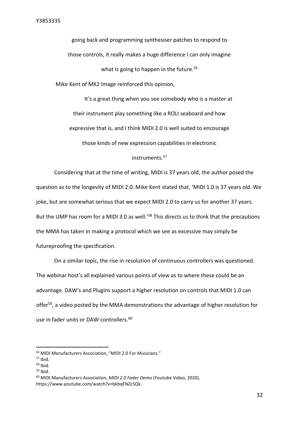going back and programming synthesiser patches to respond to those controls, it really makes a huge difference I can only imagine what is going to happen in the future.<sup>56</sup> Mike Kent of MK2 Image reinforced this opinion,

It's a great thing when you see somebody who is a master at their instrument play something like a ROLI seaboard and how expressive that is, and I think MIDI 2.0 is well suited to encourage those kinds of new expression capabilities in electronic

#### instruments.<sup>57</sup>

Considering that at the time of writing, MIDI is 37 years old, the author posed the question as to the longevity of MIDI 2.0. Mike Kent stated that, 'MIDI 1.0 is 37 years old. We joke, but are somewhat serious that we expect MIDI 2.0 to carry us for another 37 years. But the UMP has room for a MIDI 3.0 as well.<sup>'58</sup> This directs us to think that the precautions the MMA has taken in making a protocol which we see as excessive may simply be futureproofing the specification.

On a similar topic, the rise in resolution of continuous controllers was questioned. The webinar host's all explained various points of view as to where these could be an advantage. DAW's and Plugins support a higher resolution on controls that MIDI 1.0 can offer<sup>59</sup>, a video posted by the MMA demonstrations the advantage of higher resolution for use in fader units or DAW controllers.<sup>60</sup>

<sup>56</sup> MIDI Manufacturers Association, "MIDI 2.0 For Musicians."

 $57$  Ibid.

 $58$  Ibid.

 $59$  Ibid.

<sup>60</sup> MIDI Manufacturers Association, *MIDI 2.0 Fader Demo* (Youtube Video, 2020), https://www.youtube.com/watch?v=bkbqFNZcSQk.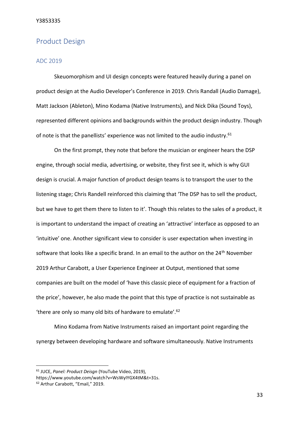## <span id="page-33-0"></span>Product Design

#### <span id="page-33-1"></span>ADC 2019

Skeuomorphism and UI design concepts were featured heavily during a panel on product design at the Audio Developer's Conference in 2019. Chris Randall (Audio Damage), Matt Jackson (Ableton), Mino Kodama (Native Instruments), and Nick Dika (Sound Toys), represented different opinions and backgrounds within the product design industry. Though of note is that the panellists' experience was not limited to the audio industry.<sup>61</sup>

On the first prompt, they note that before the musician or engineer hears the DSP engine, through social media, advertising, or website, they first see it, which is why GUI design is crucial. A major function of product design teams is to transport the user to the listening stage; Chris Randell reinforced this claiming that 'The DSP has to sell the product, but we have to get them there to listen to it'. Though this relates to the sales of a product, it is important to understand the impact of creating an 'attractive' interface as opposed to an 'intuitive' one. Another significant view to consider is user expectation when investing in software that looks like a specific brand. In an email to the author on the 24<sup>th</sup> November 2019 Arthur Carabott, a User Experience Engineer at Output, mentioned that some companies are built on the model of 'have this classic piece of equipment for a fraction of the price', however, he also made the point that this type of practice is not sustainable as 'there are only so many old bits of hardware to emulate'.<sup>62</sup>

Mino Kodama from Native Instruments raised an important point regarding the synergy between developing hardware and software simultaneously. Native Instruments

<sup>61</sup> JUCE, *Panel: Product Deisgn* (YouTube Video, 2019),

https://www.youtube.com/watch?v=WsWyIYGX4tM&t=31s.

<sup>62</sup> Arthur Carabott, "Email," 2019.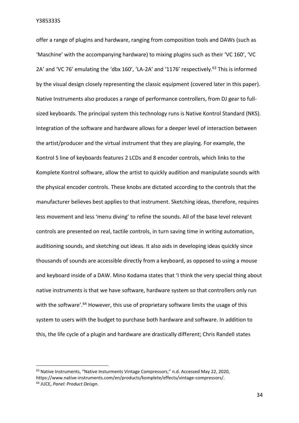offer a range of plugins and hardware, ranging from composition tools and DAWs (such as 'Maschine' with the accompanying hardware) to mixing plugins such as their 'VC 160', 'VC 2A' and 'VC 76' emulating the 'dbx 160', 'LA-2A' and '1176' respectively.<sup>63</sup> This is informed by the visual design closely representing the classic equipment (covered later in this paper). Native Instruments also produces a range of performance controllers, from DJ gear to fullsized keyboards. The principal system this technology runs is Native Kontrol Standard (NKS). Integration of the software and hardware allows for a deeper level of interaction between the artist/producer and the virtual instrument that they are playing. For example, the Kontrol S line of keyboards features 2 LCDs and 8 encoder controls, which links to the Komplete Kontrol software, allow the artist to quickly audition and manipulate sounds with the physical encoder controls. These knobs are dictated according to the controls that the manufacturer believes best applies to that instrument. Sketching ideas, therefore, requires less movement and less 'menu diving' to refine the sounds. All of the base level relevant controls are presented on real, tactile controls, in turn saving time in writing automation, auditioning sounds, and sketching out ideas. It also aids in developing ideas quickly since thousands of sounds are accessible directly from a keyboard, as opposed to using a mouse and keyboard inside of a DAW. Mino Kodama states that 'I think the very special thing about native instruments is that we have software, hardware system so that controllers only run with the software'.<sup>64</sup> However, this use of proprietary software limits the usage of this system to users with the budget to purchase both hardware and software. In addition to this, the life cycle of a plugin and hardware are drastically different; Chris Randell states

<sup>&</sup>lt;sup>63</sup> Native Instruments, "Native Insturments Vintage Compressors," n.d. Accessed May 22, 2020, https://www.native-instruments.com/en/products/komplete/effects/vintage-compressors/. <sup>64</sup> JUCE, *Panel: Product Deisgn*.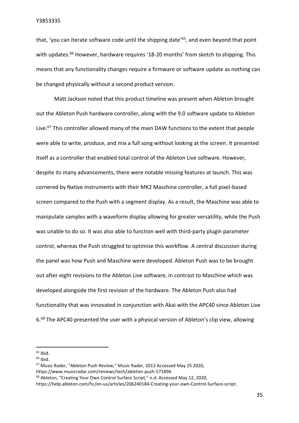that, 'you can iterate software code until the shipping date'<sup>65</sup>, and even beyond that point with updates.<sup>66</sup> However, hardware requires '18-20 months' from sketch to shipping. This means that any functionality changes require a firmware or software update as nothing can be changed physically without a second product version.

Matt Jackson noted that this product timeline was present when Ableton brought out the Ableton Push hardware controller, along with the 9.0 software update to Ableton Live.<sup>67</sup> This controller allowed many of the main DAW functions to the extent that people were able to write, produce, and mix a full song without looking at the screen. It presented itself as a controller that enabled total control of the Ableton Live software. However, despite its many advancements, there were notable missing features at launch. This was cornered by Native Instruments with their MK2 Maschine controller, a full pixel-based screen compared to the Push with a segment display. As a result, the Maschine was able to manipulate samples with a waveform display allowing for greater versatility, while the Push was unable to do so. It was also able to function well with third-party plugin parameter control, whereas the Push struggled to optimise this workflow. A central discussion during the panel was how Push and Maschine were developed. Ableton Push was to be brought out after eight revisions to the Ableton Live software, in contrast to Maschine which was developed alongside the first revision of the hardware. The Ableton Push also had functionality that was innovated in conjunction with Akai with the APC40 since Ableton Live 6.<sup>68</sup> The APC40 presented the user with a physical version of Ableton's clip view, allowing

 $65$  Ibid.

<sup>66</sup> Ibid.

<sup>67</sup> Music Rader, "Ableton Push Review," Music Rader, 2013 Accessed May 25 2020, https://www.musicradar.com/reviews/tech/ableton-push-571894.

<sup>68</sup> Ableton, "Creating Your Own Control Surface Script," n.d. Accessed May 12, 2020,

https://help.ableton.com/hc/en-us/articles/206240184-Creating-your-own-Control-Surface-script.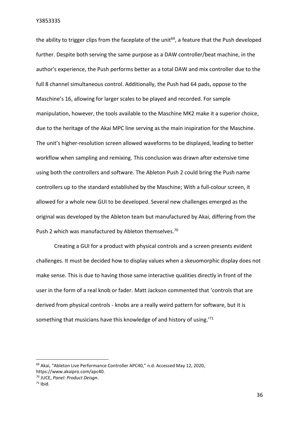the ability to trigger clips from the faceplate of the unit<sup>69</sup>, a feature that the Push developed further. Despite both serving the same purpose as a DAW controller/beat machine, in the author's experience, the Push performs better as a total DAW and mix controller due to the full 8 channel simultaneous control. Additionally, the Push had 64 pads, oppose to the Maschine's 16, allowing for larger scales to be played and recorded. For sample manipulation, however, the tools available to the Maschine MK2 make it a superior choice, due to the heritage of the Akai MPC line serving as the main inspiration for the Maschine. The unit's higher-resolution screen allowed waveforms to be displayed, leading to better workflow when sampling and remixing. This conclusion was drawn after extensive time using both the controllers and software. The Ableton Push 2 could bring the Push name controllers up to the standard established by the Maschine; With a full-colour screen, it allowed for a whole new GUI to be developed. Several new challenges emerged as the original was developed by the Ableton team but manufactured by Akai, differing from the Push 2 which was manufactured by Ableton themselves.<sup>70</sup>

Creating a GUI for a product with physical controls and a screen presents evident challenges. It must be decided how to display values when a skeuomorphic display does not make sense. This is due to having those same interactive qualities directly in front of the user in the form of a real knob or fader. Matt Jackson commented that 'controls that are derived from physical controls - knobs are a really weird pattern for software, but it is something that musicians have this knowledge of and history of using.'<sup>71</sup>

<sup>&</sup>lt;sup>69</sup> Akai, "Ableton Live Performance Controller APC40," n.d. Accessed May 12, 2020, https://www.akaipro.com/apc40.

<sup>70</sup> JUCE, *Panel: Product Deisgn*.

 $71$  Ibid.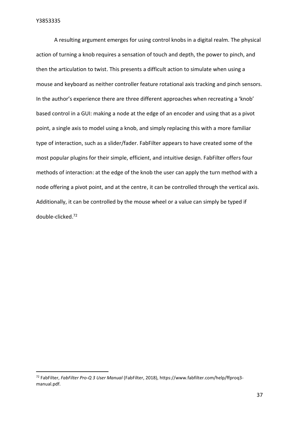A resulting argument emerges for using control knobs in a digital realm. The physical action of turning a knob requires a sensation of touch and depth, the power to pinch, and then the articulation to twist. This presents a difficult action to simulate when using a mouse and keyboard as neither controller feature rotational axis tracking and pinch sensors. In the author's experience there are three different approaches when recreating a 'knob' based control in a GUI: making a node at the edge of an encoder and using that as a pivot point, a single axis to model using a knob, and simply replacing this with a more familiar type of interaction, such as a slider/fader. FabFilter appears to have created some of the most popular plugins for their simple, efficient, and intuitive design. FabFilter offers four methods of interaction: at the edge of the knob the user can apply the turn method with a node offering a pivot point, and at the centre, it can be controlled through the vertical axis. Additionally, it can be controlled by the mouse wheel or a value can simply be typed if double-clicked.<sup>72</sup>

<sup>72</sup> FabFilter, *FabFilter Pro-Q 3 User Manual* (FabFilter, 2018), https://www.fabfilter.com/help/ffproq3 manual.pdf.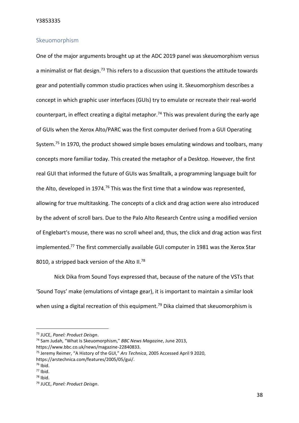#### <span id="page-38-0"></span>Skeuomorphism

One of the major arguments brought up at the ADC 2019 panel was skeuomorphism versus a minimalist or flat design.<sup>73</sup> This refers to a discussion that questions the attitude towards gear and potentially common studio practices when using it. Skeuomorphism describes a concept in which graphic user interfaces (GUIs) try to emulate or recreate their real-world counterpart, in effect creating a digital metaphor.<sup>74</sup> This was prevalent during the early age of GUIs when the Xerox Alto/PARC was the first computer derived from a GUI Operating System.<sup>75</sup> In 1970, the product showed simple boxes emulating windows and toolbars, many concepts more familiar today. This created the metaphor of a Desktop. However, the first real GUI that informed the future of GUIs was Smalltalk, a programming language built for the Alto, developed in 1974.<sup>76</sup> This was the first time that a window was represented, allowing for true multitasking. The concepts of a click and drag action were also introduced by the advent of scroll bars. Due to the Palo Alto Research Centre using a modified version of Englebart's mouse, there was no scroll wheel and, thus, the click and drag action was first implemented.<sup>77</sup> The first commercially available GUI computer in 1981 was the Xerox Star 8010, a stripped back version of the Alto II.<sup>78</sup>

Nick Dika from Sound Toys expressed that, because of the nature of the VSTs that 'Sound Toys' make (emulations of vintage gear), it is important to maintain a similar look when using a digital recreation of this equipment.<sup>79</sup> Dika claimed that skeuomorphism is

<sup>73</sup> JUCE, *Panel: Product Deisgn*.

<sup>74</sup> Sam Judah, "What Is Skeuomorphism," *BBC News Magazine*, June 2013, https://www.bbc.co.uk/news/magazine-22840833.

<sup>75</sup> Jeremy Reimer, "A History of the GUI," *Ars Technica*, 2005 Accessed April 9 2020, https://arstechnica.com/features/2005/05/gui/.

 $76$  Ibid.

<sup>77</sup> Ibid.

 $78$  Ibid.

<sup>79</sup> JUCE, *Panel: Product Deisgn*.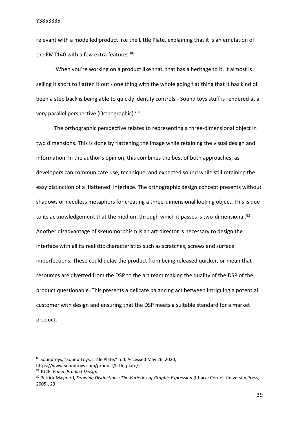relevant with a modelled product like the Little Plate, explaining that it is an emulation of the EMT140 with a few extra features.<sup>80</sup>

'When you're working on a product like that, that has a heritage to it. It almost is selling it short to flatten it out - one thing with the whole going flat thing that it has kind of been a step back is being able to quickly identify controls - Sound toys stuff is rendered at a very parallel perspective (Orthographic).'<sup>81</sup>

The orthographic perspective relates to representing a three-dimensional object in two dimensions. This is done by flattening the image while retaining the visual design and information. In the author's opinion, this combines the best of both approaches, as developers can communicate use, technique, and expected sound while still retaining the easy distinction of a 'flattened' interface. The orthographic design concept presents without shadows or needless metaphors for creating a three-dimensional looking object. This is due to its acknowledgement that the medium through which it passes is two-dimensional.<sup>82</sup> Another disadvantage of skeuomorphism is an art director is necessary to design the interface with all its realistic characteristics such as scratches, screws and surface imperfections. These could delay the product from being released quicker, or mean that resources are diverted from the DSP to the art team making the quality of the DSP of the product questionable. This presents a delicate balancing act between intriguing a potential customer with design and ensuring that the DSP meets a suitable standard for a market product.

<sup>80</sup> Soundtoys, "Sound Toys: Little Plate," n.d. Accessed May 26, 2020, https://www.soundtoys.com/product/little-plate/.

<sup>81</sup> JUCE, *Panel: Product Deisgn*.

<sup>82</sup> Patrick Maynard, *Drawing Distinctions: The Varieties of Graphic Expression* (Ithaca: Cornell University Press, 2005), 23.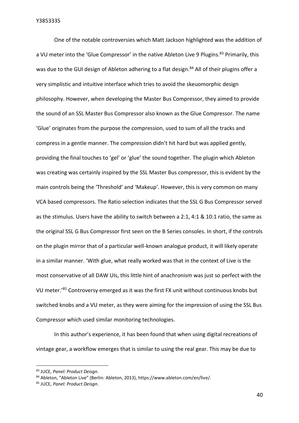One of the notable controversies which Matt Jackson highlighted was the addition of a VU meter into the 'Glue Compressor' in the native Ableton Live 9 Plugins.<sup>83</sup> Primarily, this was due to the GUI design of Ableton adhering to a flat design.<sup>84</sup> All of their plugins offer a very simplistic and intuitive interface which tries to avoid the skeuomorphic design philosophy. However, when developing the Master Bus Compressor, they aimed to provide the sound of an SSL Master Bus Compressor also known as the Glue Compressor. The name 'Glue' originates from the purpose the compression, used to sum of all the tracks and compress in a gentle manner. The compression didn't hit hard but was applied gently, providing the final touches to 'gel' or 'glue' the sound together. The plugin which Ableton was creating was certainly inspired by the SSL Master Bus compressor, this is evident by the main controls being the 'Threshold' and 'Makeup'. However, this is very common on many VCA based compressors. The Ratio selection indicates that the SSL G Bus Compressor served as the stimulus. Users have the ability to switch between a 2:1, 4:1 & 10:1 ratio, the same as the original SSL G Bus Compressor first seen on the B Series consoles. In short, if the controls on the plugin mirror that of a particular well-known analogue product, it will likely operate in a similar manner. 'With glue, what really worked was that in the context of Live is the most conservative of all DAW UIs, this little hint of anachronism was just so perfect with the VU meter.<sup>'85</sup> Controversy emerged as it was the first FX unit without continuous knobs but switched knobs and a VU meter, as they were aiming for the impression of using the SSL Bus Compressor which used similar monitoring technologies.

In this author's experience, it has been found that when using digital recreations of vintage gear, a workflow emerges that is similar to using the real gear. This may be due to

<sup>83</sup> JUCE, *Panel: Product Deisgn*.

<sup>84</sup> Ableton, "Ableton Live" (Berlin: Ableton, 2013), https://www.ableton.com/en/live/.

<sup>85</sup> JUCE, *Panel: Product Deisgn*.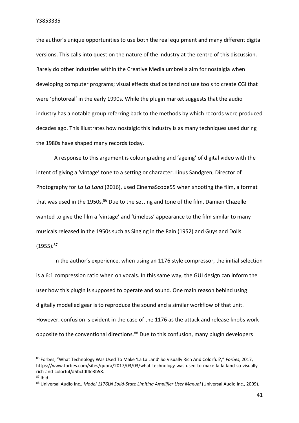the author's unique opportunities to use both the real equipment and many different digital versions. This calls into question the nature of the industry at the centre of this discussion. Rarely do other industries within the Creative Media umbrella aim for nostalgia when developing computer programs; visual effects studios tend not use tools to create CGI that were 'photoreal' in the early 1990s. While the plugin market suggests that the audio industry has a notable group referring back to the methods by which records were produced decades ago. This illustrates how nostalgic this industry is as many techniques used during the 1980s have shaped many records today.

A response to this argument is colour grading and 'ageing' of digital video with the intent of giving a 'vintage' tone to a setting or character. Linus Sandgren, Director of Photography for *La La Land* (2016), used CinemaScope55 when shooting the film, a format that was used in the 1950s. $86$  Due to the setting and tone of the film, Damien Chazelle wanted to give the film a 'vintage' and 'timeless' appearance to the film similar to many musicals released in the 1950s such as Singing in the Rain (1952) and Guys and Dolls  $(1955).^{87}$ 

In the author's experience, when using an 1176 style compressor, the initial selection is a 6:1 compression ratio when on vocals. In this same way, the GUI design can inform the user how this plugin is supposed to operate and sound. One main reason behind using digitally modelled gear is to reproduce the sound and a similar workflow of that unit. However, confusion is evident in the case of the 1176 as the attack and release knobs work opposite to the conventional directions.<sup>88</sup> Due to this confusion, many plugin developers

<sup>86</sup> Forbes, "What Technology Was Used To Make 'La La Land' So Visually Rich And Colorful?," *Forbes*, 2017, https://www.forbes.com/sites/quora/2017/03/03/what-technology-was-used-to-make-la-la-land-so-visuallyrich-and-colorful/#5bcfdf4e3b58.

 $87$  Ibid.

<sup>88</sup> Universal Audio Inc., *Model 1176LN Solid-State Limiting Amplifier User Manual* (Universal Audio Inc., 2009).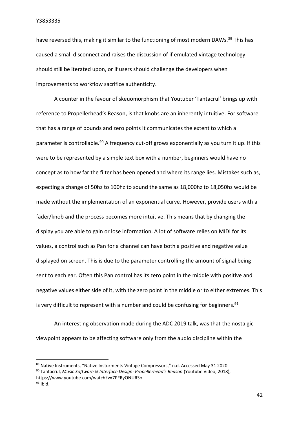have reversed this, making it similar to the functioning of most modern DAWs.<sup>89</sup> This has caused a small disconnect and raises the discussion of if emulated vintage technology should still be iterated upon, or if users should challenge the developers when improvements to workflow sacrifice authenticity.

A counter in the favour of skeuomorphism that Youtuber 'Tantacrul' brings up with reference to Propellerhead's Reason, is that knobs are an inherently intuitive. For software that has a range of bounds and zero points it communicates the extent to which a parameter is controllable.<sup>90</sup> A frequency cut-off grows exponentially as you turn it up. If this were to be represented by a simple text box with a number, beginners would have no concept as to how far the filter has been opened and where its range lies. Mistakes such as, expecting a change of 50hz to 100hz to sound the same as 18,000hz to 18,050hz would be made without the implementation of an exponential curve. However, provide users with a fader/knob and the process becomes more intuitive. This means that by changing the display you are able to gain or lose information. A lot of software relies on MIDI for its values, a control such as Pan for a channel can have both a positive and negative value displayed on screen. This is due to the parameter controlling the amount of signal being sent to each ear. Often this Pan control has its zero point in the middle with positive and negative values either side of it, with the zero point in the middle or to either extremes. This is very difficult to represent with a number and could be confusing for beginners. $91$ 

An interesting observation made during the ADC 2019 talk, was that the nostalgic viewpoint appears to be affecting software only from the audio discipline within the

<sup>89</sup> Native Instruments, "Native Insturments Vintage Compressors," n.d. Accessed May 31 2020.

<sup>90</sup> Tantacrul, *Music Software & Interface Design: Propellerhead's Reason* (Youtube Video, 2018), https://www.youtube.com/watch?v=7PFRyONURSo.

 $91$  Ibid.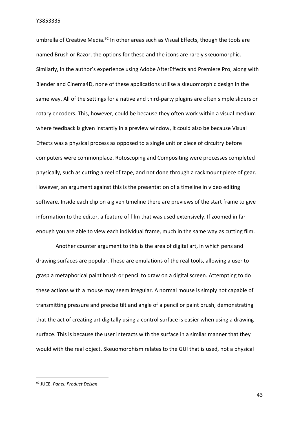umbrella of Creative Media.<sup>92</sup> In other areas such as Visual Effects, though the tools are named Brush or Razor, the options for these and the icons are rarely skeuomorphic. Similarly, in the author's experience using Adobe AfterEffects and Premiere Pro, along with Blender and Cinema4D, none of these applications utilise a skeuomorphic design in the same way. All of the settings for a native and third-party plugins are often simple sliders or rotary encoders. This, however, could be because they often work within a visual medium where feedback is given instantly in a preview window, it could also be because Visual Effects was a physical process as opposed to a single unit or piece of circuitry before computers were commonplace. Rotoscoping and Compositing were processes completed physically, such as cutting a reel of tape, and not done through a rackmount piece of gear. However, an argument against this is the presentation of a timeline in video editing software. Inside each clip on a given timeline there are previews of the start frame to give information to the editor, a feature of film that was used extensively. If zoomed in far enough you are able to view each individual frame, much in the same way as cutting film.

Another counter argument to this is the area of digital art, in which pens and drawing surfaces are popular. These are emulations of the real tools, allowing a user to grasp a metaphorical paint brush or pencil to draw on a digital screen. Attempting to do these actions with a mouse may seem irregular. A normal mouse is simply not capable of transmitting pressure and precise tilt and angle of a pencil or paint brush, demonstrating that the act of creating art digitally using a control surface is easier when using a drawing surface. This is because the user interacts with the surface in a similar manner that they would with the real object. Skeuomorphism relates to the GUI that is used, not a physical

43

<sup>92</sup> JUCE, *Panel: Product Deisgn*.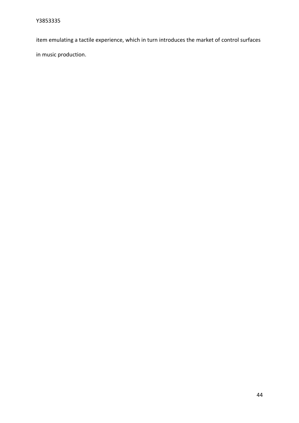item emulating a tactile experience, which in turn introduces the market of control surfaces

in music production.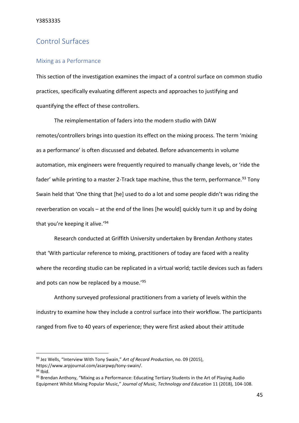## <span id="page-45-0"></span>Control Surfaces

#### <span id="page-45-1"></span>Mixing as a Performance

This section of the investigation examines the impact of a control surface on common studio practices, specifically evaluating different aspects and approaches to justifying and quantifying the effect of these controllers.

The reimplementation of faders into the modern studio with DAW remotes/controllers brings into question its effect on the mixing process. The term 'mixing as a performance' is often discussed and debated. Before advancements in volume automation, mix engineers were frequently required to manually change levels, or 'ride the fader' while printing to a master 2-Track tape machine, thus the term, performance.<sup>93</sup> Tony Swain held that 'One thing that [he] used to do a lot and some people didn't was riding the reverberation on vocals – at the end of the lines [he would] quickly turn it up and by doing that you're keeping it alive.'<sup>94</sup>

Research conducted at Griffith University undertaken by Brendan Anthony states that 'With particular reference to mixing, practitioners of today are faced with a reality where the recording studio can be replicated in a virtual world; tactile devices such as faders and pots can now be replaced by a mouse.'95

Anthony surveyed professional practitioners from a variety of levels within the industry to examine how they include a control surface into their workflow. The participants ranged from five to 40 years of experience; they were first asked about their attitude

<sup>93</sup> Jez Wells, "Interview With Tony Swain," *Art of Record Production*, no. 09 (2015), https://www.arpjournal.com/asarpwp/tony-swain/.

 $94$  Ibid.

<sup>&</sup>lt;sup>95</sup> Brendan Anthony, "Mixing as a Performance: Educating Tertiary Students in the Art of Playing Audio Equipment Whilst Mixing Popular Music," *Journal of Music, Technology and Education* 11 (2018), 104-108.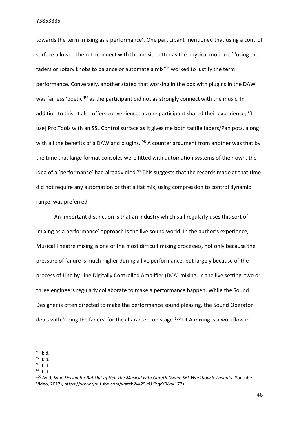towards the term 'mixing as a performance'. One participant mentioned that using a control surface allowed them to connect with the music better as the physical motion of 'using the faders or rotary knobs to balance or automate a mix'<sup>96</sup> worked to justify the term performance. Conversely, another stated that working in the box with plugins in the DAW was far less 'poetic'<sup>97</sup> as the participant did not as strongly connect with the music. In addition to this, it also offers convenience, as one participant shared their experience, '[I use] Pro Tools with an SSL Control surface as it gives me both tactile faders/Pan pots, along with all the benefits of a DAW and plugins.<sup>'98</sup> A counter argument from another was that by the time that large format consoles were fitted with automation systems of their own, the idea of a 'performance' had already died. $99$  This suggests that the records made at that time did not require any automation or that a flat mix, using compression to control dynamic range, was preferred.

An important distinction is that an industry which still regularly uses this sort of 'mixing as a performance' approach is the live sound world. In the author's experience, Musical Theatre mixing is one of the most difficult mixing processes, not only because the pressure of failure is much higher during a live performance, but largely because of the process of Line by Line Digitally Controlled Amplifier (DCA) mixing. In the live setting, two or three engineers regularly collaborate to make a performance happen. While the Sound Designer is often directed to make the performance sound pleasing, the Sound Operator deals with 'riding the faders' for the characters on stage.<sup>100</sup> DCA mixing is a workflow in

 $98$  Ibid.

 $96$  Ibid.

 $97$  Ibid.

 $99$  Ibid.

<sup>100</sup> Avid, *Soud Deisgn for Bat Out of Hell The Musical with Gareth Owen: S6L Workflow & Layouts* (Youtube Video, 2017), https://www.youtube.com/watch?v=25-tUKYqcY0&t=177s.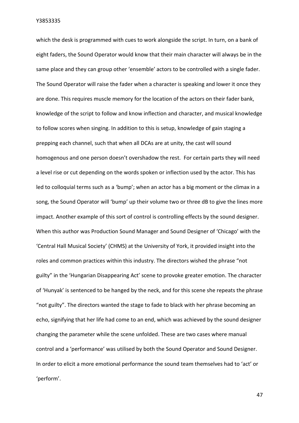which the desk is programmed with cues to work alongside the script. In turn, on a bank of eight faders, the Sound Operator would know that their main character will always be in the same place and they can group other 'ensemble' actors to be controlled with a single fader. The Sound Operator will raise the fader when a character is speaking and lower it once they are done. This requires muscle memory for the location of the actors on their fader bank, knowledge of the script to follow and know inflection and character, and musical knowledge to follow scores when singing. In addition to this is setup, knowledge of gain staging a prepping each channel, such that when all DCAs are at unity, the cast will sound homogenous and one person doesn't overshadow the rest. For certain parts they will need a level rise or cut depending on the words spoken or inflection used by the actor. This has led to colloquial terms such as a 'bump'; when an actor has a big moment or the climax in a song, the Sound Operator will 'bump' up their volume two or three dB to give the lines more impact. Another example of this sort of control is controlling effects by the sound designer. When this author was Production Sound Manager and Sound Designer of 'Chicago' with the 'Central Hall Musical Society' (CHMS) at the University of York, it provided insight into the roles and common practices within this industry. The directors wished the phrase "not guilty" in the 'Hungarian Disappearing Act' scene to provoke greater emotion. The character of 'Hunyak' is sentenced to be hanged by the neck, and for this scene she repeats the phrase "not guilty". The directors wanted the stage to fade to black with her phrase becoming an echo, signifying that her life had come to an end, which was achieved by the sound designer changing the parameter while the scene unfolded. These are two cases where manual control and a 'performance' was utilised by both the Sound Operator and Sound Designer. In order to elicit a more emotional performance the sound team themselves had to 'act' or 'perform'.

47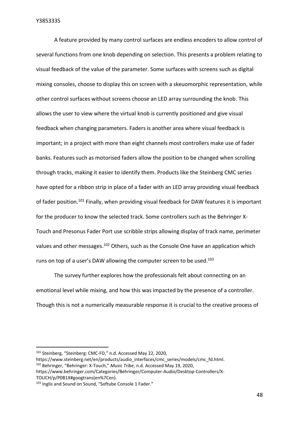A feature provided by many control surfaces are endless encoders to allow control of several functions from one knob depending on selection. This presents a problem relating to visual feedback of the value of the parameter. Some surfaces with screens such as digital mixing consoles, choose to display this on screen with a skeuomorphic representation, while other control surfaces without screens choose an LED array surrounding the knob. This allows the user to view where the virtual knob is currently positioned and give visual feedback when changing parameters. Faders is another area where visual feedback is important; in a project with more than eight channels most controllers make use of fader banks. Features such as motorised faders allow the position to be changed when scrolling through tracks, making it easier to identify them. Products like the Steinberg CMC series have opted for a ribbon strip in place of a fader with an LED array providing visual feedback of fader position.<sup>101</sup> Finally, when providing visual feedback for DAW features it is important for the producer to know the selected track. Some controllers such as the Behringer X-Touch and Presonus Fader Port use scribble strips allowing display of track name, perimeter values and other messages.<sup>102</sup> Others, such as the Console One have an application which runs on top of a user's DAW allowing the computer screen to be used.<sup>103</sup>

The survey further explores how the professionals felt about connecting on an emotional level while mixing, and how this was impacted by the presence of a controller. Though this is not a numerically measurable response it is crucial to the creative process of

<sup>101</sup> Steinberg, "Steinberg: CMC-FD," n.d. Accessed May 22, 2020,

https://www.steinberg.net/en/products/audio\_interfaces/cmc\_series/models/cmc\_fd.html. <sup>102</sup> Behringer, "Behringer: X-Touch," *Music Tribe*, n.d. Accessed May 19, 2020,

https://www.behringer.com/Categories/Behringer/Computer-Audio/Desktop-Controllers/X-TOUCH/p/P0B1X#googtrans(en%7Cen).

<sup>103</sup> Inglis and Sound on Sound, "Softube Console 1 Fader."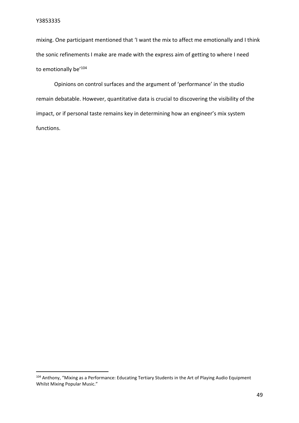mixing. One participant mentioned that 'I want the mix to affect me emotionally and I think the sonic refinements I make are made with the express aim of getting to where I need to emotionally be'<sup>104</sup>

Opinions on control surfaces and the argument of 'performance' in the studio remain debatable. However, quantitative data is crucial to discovering the visibility of the impact, or if personal taste remains key in determining how an engineer's mix system functions.

<sup>&</sup>lt;sup>104</sup> Anthony, "Mixing as a Performance: Educating Tertiary Students in the Art of Playing Audio Equipment Whilst Mixing Popular Music."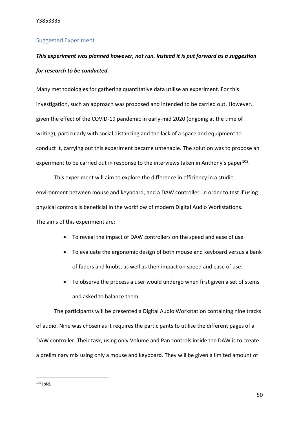#### <span id="page-50-0"></span>Suggested Experiment

## *This experiment was planned however, not run. Instead it is put forward as a suggestion for research to be conducted.*

Many methodologies for gathering quantitative data utilise an experiment. For this investigation, such an approach was proposed and intended to be carried out. However, given the effect of the COVID-19 pandemic in early-mid 2020 (ongoing at the time of writing), particularly with social distancing and the lack of a space and equipment to conduct it, carrying out this experiment became untenable. The solution was to propose an experiment to be carried out in response to the interviews taken in Anthony's paper<sup>105</sup>.

This experiment will aim to explore the difference in efficiency in a studio environment between mouse and keyboard, and a DAW controller, in order to test if using physical controls is beneficial in the workflow of modern Digital Audio Workstations. The aims of this experiment are:

- To reveal the impact of DAW controllers on the speed and ease of use.
- To evaluate the ergonomic design of both mouse and keyboard versus a bank of faders and knobs, as well as their impact on speed and ease of use.
- To observe the process a user would undergo when first given a set of stems and asked to balance them.

The participants will be presented a Digital Audio Workstation containing nine tracks of audio. Nine was chosen as it requires the participants to utilise the different pages of a DAW controller. Their task, using only Volume and Pan controls inside the DAW is to create a preliminary mix using only a mouse and keyboard. They will be given a limited amount of

 $105$  Ibid.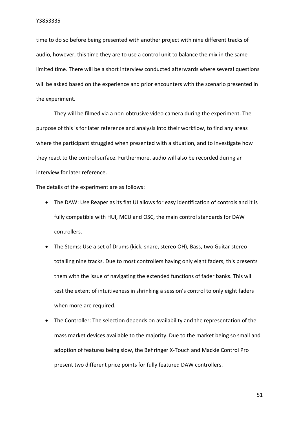time to do so before being presented with another project with nine different tracks of audio, however, this time they are to use a control unit to balance the mix in the same limited time. There will be a short interview conducted afterwards where several questions will be asked based on the experience and prior encounters with the scenario presented in the experiment.

They will be filmed via a non-obtrusive video camera during the experiment. The purpose of this is for later reference and analysis into their workflow, to find any areas where the participant struggled when presented with a situation, and to investigate how they react to the control surface. Furthermore, audio will also be recorded during an interview for later reference.

The details of the experiment are as follows:

- The DAW: Use Reaper as its flat UI allows for easy identification of controls and it is fully compatible with HUI, MCU and OSC, the main control standards for DAW controllers.
- The Stems: Use a set of Drums (kick, snare, stereo OH), Bass, two Guitar stereo totalling nine tracks. Due to most controllers having only eight faders, this presents them with the issue of navigating the extended functions of fader banks. This will test the extent of intuitiveness in shrinking a session's control to only eight faders when more are required.
- The Controller: The selection depends on availability and the representation of the mass market devices available to the majority. Due to the market being so small and adoption of features being slow, the Behringer X-Touch and Mackie Control Pro present two different price points for fully featured DAW controllers.

51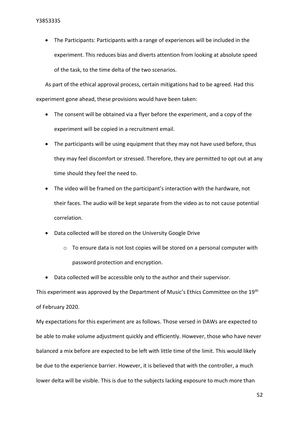• The Participants: Participants with a range of experiences will be included in the experiment. This reduces bias and diverts attention from looking at absolute speed of the task, to the time delta of the two scenarios.

As part of the ethical approval process, certain mitigations had to be agreed. Had this experiment gone ahead, these provisions would have been taken:

- The consent will be obtained via a flyer before the experiment, and a copy of the experiment will be copied in a recruitment email.
- The participants will be using equipment that they may not have used before, thus they may feel discomfort or stressed. Therefore, they are permitted to opt out at any time should they feel the need to.
- The video will be framed on the participant's interaction with the hardware, not their faces. The audio will be kept separate from the video as to not cause potential correlation.
- Data collected will be stored on the University Google Drive
	- $\circ$  To ensure data is not lost copies will be stored on a personal computer with password protection and encryption.
- Data collected will be accessible only to the author and their supervisor.

This experiment was approved by the Department of Music's Ethics Committee on the 19<sup>th</sup> of February 2020.

My expectations for this experiment are as follows. Those versed in DAWs are expected to be able to make volume adjustment quickly and efficiently. However, those who have never balanced a mix before are expected to be left with little time of the limit. This would likely be due to the experience barrier. However, it is believed that with the controller, a much lower delta will be visible. This is due to the subjects lacking exposure to much more than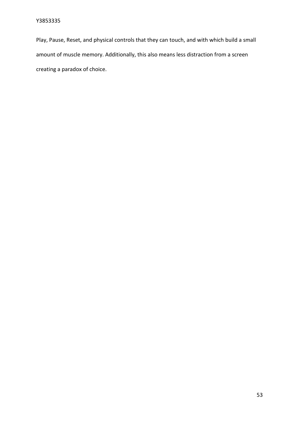<span id="page-53-0"></span>Play, Pause, Reset, and physical controls that they can touch, and with which build a small amount of muscle memory. Additionally, this also means less distraction from a screen creating a paradox of choice.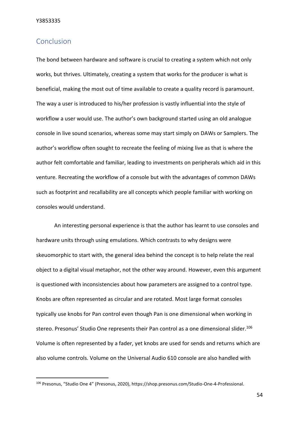## Conclusion

The bond between hardware and software is crucial to creating a system which not only works, but thrives. Ultimately, creating a system that works for the producer is what is beneficial, making the most out of time available to create a quality record is paramount. The way a user is introduced to his/her profession is vastly influential into the style of workflow a user would use. The author's own background started using an old analogue console in live sound scenarios, whereas some may start simply on DAWs or Samplers. The author's workflow often sought to recreate the feeling of mixing live as that is where the author felt comfortable and familiar, leading to investments on peripherals which aid in this venture. Recreating the workflow of a console but with the advantages of common DAWs such as footprint and recallability are all concepts which people familiar with working on consoles would understand.

An interesting personal experience is that the author has learnt to use consoles and hardware units through using emulations. Which contrasts to why designs were skeuomorphic to start with, the general idea behind the concept is to help relate the real object to a digital visual metaphor, not the other way around. However, even this argument is questioned with inconsistencies about how parameters are assigned to a control type. Knobs are often represented as circular and are rotated. Most large format consoles typically use knobs for Pan control even though Pan is one dimensional when working in stereo. Presonus' Studio One represents their Pan control as a one dimensional slider.<sup>106</sup> Volume is often represented by a fader, yet knobs are used for sends and returns which are also volume controls. Volume on the Universal Audio 610 console are also handled with

54

<sup>106</sup> Presonus, "Studio One 4" (Presonus, 2020), https://shop.presonus.com/Studio-One-4-Professional.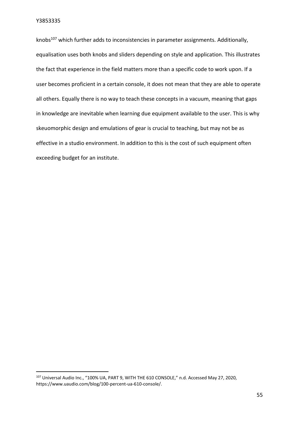knobs $107$  which further adds to inconsistencies in parameter assignments. Additionally, equalisation uses both knobs and sliders depending on style and application. This illustrates the fact that experience in the field matters more than a specific code to work upon. If a user becomes proficient in a certain console, it does not mean that they are able to operate all others. Equally there is no way to teach these concepts in a vacuum, meaning that gaps in knowledge are inevitable when learning due equipment available to the user. This is why skeuomorphic design and emulations of gear is crucial to teaching, but may not be as effective in a studio environment. In addition to this is the cost of such equipment often exceeding budget for an institute.

<sup>&</sup>lt;sup>107</sup> Universal Audio Inc., "100% UA, PART 9, WITH THE 610 CONSOLE," n.d. Accessed May 27, 2020, https://www.uaudio.com/blog/100-percent-ua-610-console/.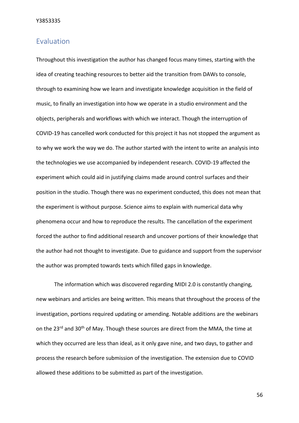## <span id="page-56-0"></span>Evaluation

Throughout this investigation the author has changed focus many times, starting with the idea of creating teaching resources to better aid the transition from DAWs to console, through to examining how we learn and investigate knowledge acquisition in the field of music, to finally an investigation into how we operate in a studio environment and the objects, peripherals and workflows with which we interact. Though the interruption of COVID-19 has cancelled work conducted for this project it has not stopped the argument as to why we work the way we do. The author started with the intent to write an analysis into the technologies we use accompanied by independent research. COVID-19 affected the experiment which could aid in justifying claims made around control surfaces and their position in the studio. Though there was no experiment conducted, this does not mean that the experiment is without purpose. Science aims to explain with numerical data why phenomena occur and how to reproduce the results. The cancellation of the experiment forced the author to find additional research and uncover portions of their knowledge that the author had not thought to investigate. Due to guidance and support from the supervisor the author was prompted towards texts which filled gaps in knowledge.

The information which was discovered regarding MIDI 2.0 is constantly changing, new webinars and articles are being written. This means that throughout the process of the investigation, portions required updating or amending. Notable additions are the webinars on the 23<sup>rd</sup> and 30<sup>th</sup> of May. Though these sources are direct from the MMA, the time at which they occurred are less than ideal, as it only gave nine, and two days, to gather and process the research before submission of the investigation. The extension due to COVID allowed these additions to be submitted as part of the investigation.

56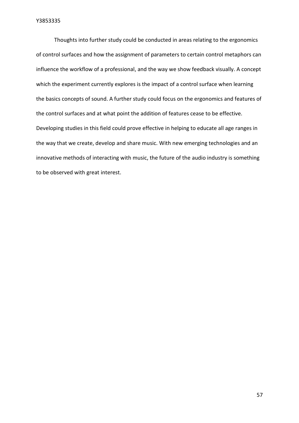Thoughts into further study could be conducted in areas relating to the ergonomics of control surfaces and how the assignment of parameters to certain control metaphors can influence the workflow of a professional, and the way we show feedback visually. A concept which the experiment currently explores is the impact of a control surface when learning the basics concepts of sound. A further study could focus on the ergonomics and features of the control surfaces and at what point the addition of features cease to be effective. Developing studies in this field could prove effective in helping to educate all age ranges in the way that we create, develop and share music. With new emerging technologies and an innovative methods of interacting with music, the future of the audio industry is something to be observed with great interest.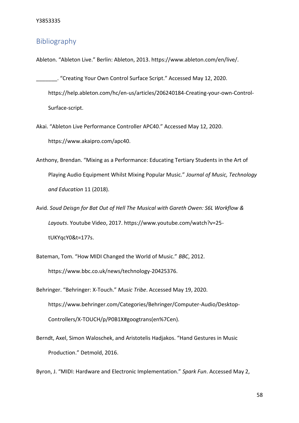## <span id="page-58-0"></span>Bibliography

Ableton. "Ableton Live." Berlin: Ableton, 2013. https://www.ableton.com/en/live/.

- \_\_\_\_\_\_\_. "Creating Your Own Control Surface Script." Accessed May 12, 2020. https://help.ableton.com/hc/en-us/articles/206240184-Creating-your-own-Control-Surface-script.
- Akai. "Ableton Live Performance Controller APC40." Accessed May 12, 2020. https://www.akaipro.com/apc40.
- Anthony, Brendan. "Mixing as a Performance: Educating Tertiary Students in the Art of Playing Audio Equipment Whilst Mixing Popular Music." *Journal of Music, Technology and Education* 11 (2018).
- Avid. *Soud Deisgn for Bat Out of Hell The Musical with Gareth Owen: S6L Workflow & Layouts*. Youtube Video, 2017. https://www.youtube.com/watch?v=25 tUKYqcY0&t=177s.
- Bateman, Tom. "How MIDI Changed the World of Music." *BBC*, 2012. https://www.bbc.co.uk/news/technology-20425376.
- Behringer. "Behringer: X-Touch." *Music Tribe*. Accessed May 19, 2020. https://www.behringer.com/Categories/Behringer/Computer-Audio/Desktop-Controllers/X-TOUCH/p/P0B1X#googtrans(en%7Cen).
- Berndt, Axel, Simon Waloschek, and Aristotelis Hadjakos. "Hand Gestures in Music Production." Detmold, 2016.

Byron, J. "MIDI: Hardware and Electronic Implementation." *Spark Fun*. Accessed May 2,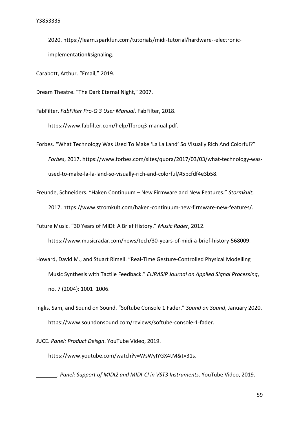2020. https://learn.sparkfun.com/tutorials/midi-tutorial/hardware--electronicimplementation#signaling.

Carabott, Arthur. "Email," 2019.

Dream Theatre. "The Dark Eternal Night," 2007.

FabFilter. *FabFilter Pro-Q 3 User Manual*. FabFilter, 2018.

https://www.fabfilter.com/help/ffproq3-manual.pdf.

Forbes. "What Technology Was Used To Make 'La La Land' So Visually Rich And Colorful?" *Forbes*, 2017. https://www.forbes.com/sites/quora/2017/03/03/what-technology-wasused-to-make-la-la-land-so-visually-rich-and-colorful/#5bcfdf4e3b58.

Freunde, Schneiders. "Haken Continuum – New Firmware and New Features." *Stormkult*, 2017. https://www.stromkult.com/haken-continuum-new-firmware-new-features/.

Future Music. "30 Years of MIDI: A Brief History." *Music Rader*, 2012.

https://www.musicradar.com/news/tech/30-years-of-midi-a-brief-history-568009.

- Howard, David M., and Stuart Rimell. "Real-Time Gesture-Controlled Physical Modelling Music Synthesis with Tactile Feedback." *EURASIP Journal on Applied Signal Processing*, no. 7 (2004): 1001–1006.
- Inglis, Sam, and Sound on Sound. "Softube Console 1 Fader." *Sound on Sound*, January 2020. https://www.soundonsound.com/reviews/softube-console-1-fader.

JUCE. *Panel: Product Deisgn*. YouTube Video, 2019.

https://www.youtube.com/watch?v=WsWyIYGX4tM&t=31s.

\_\_\_\_\_\_\_. *Panel: Support of MIDI2 and MIDI-CI in VST3 Instruments*. YouTube Video, 2019.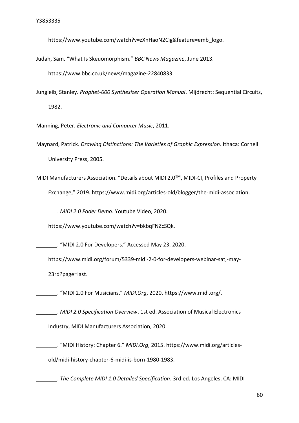https://www.youtube.com/watch?v=zXnHaoN2Cig&feature=emb\_logo.

Judah, Sam. "What Is Skeuomorphism." *BBC News Magazine*, June 2013.

https://www.bbc.co.uk/news/magazine-22840833.

Jungleib, Stanley. *Prophet-600 Synthesizer Operation Manual*. Mijdrecht: Sequential Circuits, 1982.

Manning, Peter. *Electronic and Computer Music*, 2011.

Maynard, Patrick. *Drawing Distinctions: The Varieties of Graphic Expression*. Ithaca: Cornell University Press, 2005.

MIDI Manufacturers Association. "Details about MIDI 2.0TM, MIDI-CI, Profiles and Property Exchange," 2019. https://www.midi.org/articles-old/blogger/the-midi-association.

\_\_\_\_\_\_\_. *MIDI 2.0 Fader Demo*. Youtube Video, 2020.

https://www.youtube.com/watch?v=bkbqFNZcSQk.

\_\_\_\_\_\_\_. "MIDI 2.0 For Developers." Accessed May 23, 2020.

https://www.midi.org/forum/5339-midi-2-0-for-developers-webinar-sat,-may-23rd?page=last.

\_\_\_\_\_\_\_. "MIDI 2.0 For Musicians." *MIDI.Org*, 2020. https://www.midi.org/.

\_\_\_\_\_\_\_. *MIDI 2.0 Specification Overview*. 1st ed. Association of Musical Electronics Industry, MIDI Manufacturers Association, 2020.

\_\_\_\_\_\_\_. "MIDI History: Chapter 6." *MIDI.Org*, 2015. https://www.midi.org/articlesold/midi-history-chapter-6-midi-is-born-1980-1983.

\_\_\_\_\_\_\_. *The Complete MIDI 1.0 Detailed Specification*. 3rd ed. Los Angeles, CA: MIDI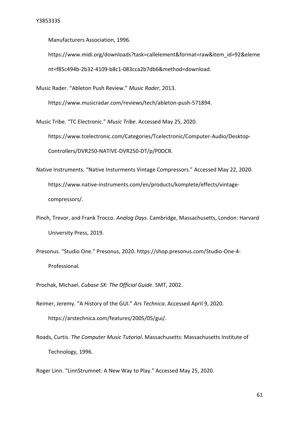Manufacturers Association, 1996.

https://www.midi.org/downloads?task=callelement&format=raw&item\_id=92&eleme nt=f85c494b-2b32-4109-b8c1-083cca2b7db6&method=download.

Music Rader. "Ableton Push Review." *Music Rader*, 2013.

https://www.musicradar.com/reviews/tech/ableton-push-571894.

Music Tribe. "TC Electronic." *Music Tribe*. Accessed May 25, 2020.

https://www.tcelectronic.com/Categories/Tcelectronic/Computer-Audio/Desktop-Controllers/DVR250-NATIVE-DVR250-DT/p/P0DCR.

- Native Instruments. "Native Insturments Vintage Compressors." Accessed May 22, 2020. https://www.native-instruments.com/en/products/komplete/effects/vintagecompressors/.
- Pinch, Trevor, and Frank Trocco. *Analog Days*. Cambridge, Massachusetts, London: Harvard University Press, 2019.
- Presonus. "Studio One." Presonus, 2020. https://shop.presonus.com/Studio-One-4- Professional.

Prochak, Michael. *Cubase SX: The Official Guide*. SMT, 2002.

- Reimer, Jeremy. "A History of the GUI." *Ars Technica*. Accessed April 9, 2020. https://arstechnica.com/features/2005/05/gui/.
- Roads, Curtis. *The Computer Music Tutorial*. Massachusetts: Massachusetts Institute of Technology, 1996.

Roger Linn. "LinnStrumnet: A New Way to Play." Accessed May 25, 2020.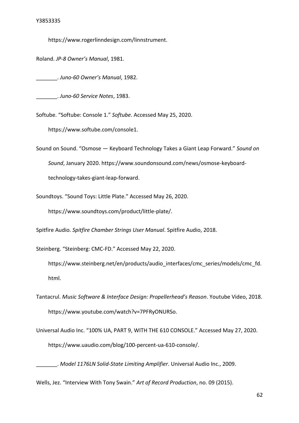https://www.rogerlinndesign.com/linnstrument.

Roland. *JP-8 Owner's Manual*, 1981.

\_\_\_\_\_\_\_. *Juno-60 Owner's Manual*, 1982.

\_\_\_\_\_\_\_. *Juno-60 Service Notes*, 1983.

Softube. "Softube: Console 1." *Softube*. Accessed May 25, 2020.

https://www.softube.com/console1.

Sound on Sound. "Osmose — Keyboard Technology Takes a Giant Leap Forward." *Sound on Sound*, January 2020. https://www.soundonsound.com/news/osmose-keyboardtechnology-takes-giant-leap-forward.

Soundtoys. "Sound Toys: Little Plate." Accessed May 26, 2020.

https://www.soundtoys.com/product/little-plate/.

Spitfire Audio. *Spitfire Chamber Strings User Manual*. Spitfire Audio, 2018.

Steinberg. "Steinberg: CMC-FD." Accessed May 22, 2020.

https://www.steinberg.net/en/products/audio\_interfaces/cmc\_series/models/cmc\_fd. html.

Tantacrul. *Music Software & Interface Design: Propellerhead's Reason*. Youtube Video, 2018. https://www.youtube.com/watch?v=7PFRyONURSo.

Universal Audio Inc. "100% UA, PART 9, WITH THE 610 CONSOLE." Accessed May 27, 2020. https://www.uaudio.com/blog/100-percent-ua-610-console/.

\_\_\_\_\_\_\_. *Model 1176LN Solid-State Limiting Amplifier*. Universal Audio Inc., 2009.

Wells, Jez. "Interview With Tony Swain." *Art of Record Production*, no. 09 (2015).